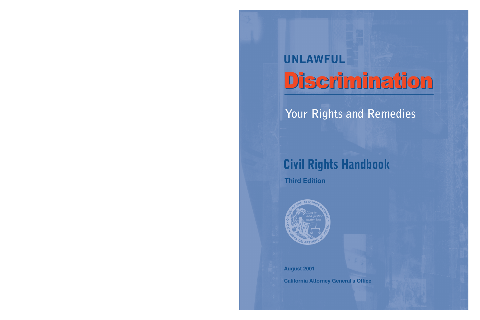# **UNLAWFUL** Discrimination

## **Your Rights and Remedies**

## **Civil Rights Handbook**

### **Third Edition**



**August 2001**

**California Attorney General's Office**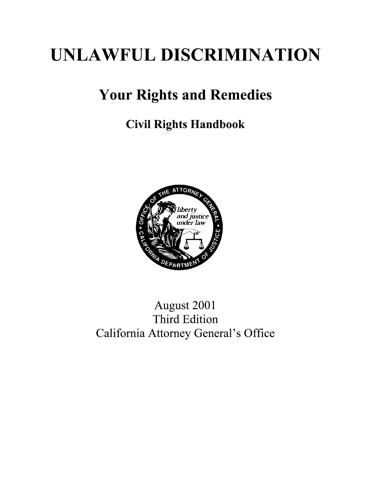## UNLAWFUL DISCRIMINATION

## **Your Rights and Remedies**

### **Civil Rights Handbook**



### August 2001 **Third Edition** California Attorney General's Office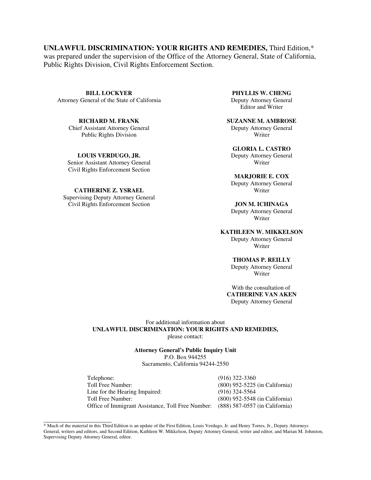**UNLAWFUL DISCRIMINATION: YOUR RIGHTS AND REMEDIES,** Third Edition,\* was prepared under the supervision of the Office of the Attorney General, State of California, Public Rights Division, Civil Rights Enforcement Section.

**BILL LOCKYER PHYLLIS W. CHENG** Attorney General of the State of California Deputy Attorney General

**RICHARD M. FRANK SUZANNE M. AMBROSE** Chief Assistant Attorney General Deputy Attorney General Public Rights Division Writer

**LOUIS VERDUGO, JR.** Deputy Attorney General<br>
ior Assistant Attorney General Writer Writer Senior Assistant Attorney General Civil Rights Enforcement Section

#### **CATHERINE Z. YSRAEL** Writer

Supervising Deputy Attorney General Civil Rights Enforcement Section **JON M. ICHINAGA**

Editor and Writer

**GLORIA L. CASTRO**

**MARJORIE E. COX**

Deputy Attorney General

Deputy Attorney General Writer

**KATHLEEN W. MIKKELSON**

Deputy Attorney General Writer

#### **THOMAS P. REILLY**

Deputy Attorney General Writer

With the consultation of **CATHERINE VAN AKEN** Deputy Attorney General

For additional information about **UNLAWFUL DISCRIMINATION: YOUR RIGHTS AND REMEDIES,** please contact:

#### **Attorney General's Public Inquiry Unit** P.O. Box 944255

Sacramento, California 94244-2550

Telephone: (916) 322-3360<br>Toll Free Number: (800) 952-5225 (800) 952-5225 (in California) Line for the Hearing Impaired: (916) 324-5564 Toll Free Number: (800) 952-5548 (in California) Office of Immigrant Assistance, Toll Free Number: (888) 587-0557 (in California)

<sup>\*</sup> Much of the material in this Third Edition is an update of the First Edition, Louis Verdugo, Jr. and Henry Torres, Jr., Deputy Attorneys General, writers and editors, and Second Edition, Kathleen W. Mikkelson, Deputy Attorney General, writer and editor, and Marian M. Johnston, Supervising Deputy Attorney General, editor.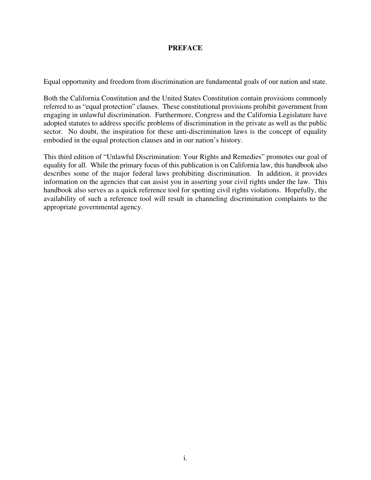#### **PREFACE**

Equal opportunity and freedom from discrimination are fundamental goals of our nation and state.

Both the California Constitution and the United States Constitution contain provisions commonly referred to as "equal protection" clauses. These constitutional provisions prohibit government from engaging in unlawful discrimination. Furthermore, Congress and the California Legislature have adopted statutes to address specific problems of discrimination in the private as well as the public sector. No doubt, the inspiration for these anti-discrimination laws is the concept of equality embodied in the equal protection clauses and in our nation's history.

This third edition of "Unlawful Discrimination: Your Rights and Remedies" promotes our goal of equality for all. While the primary focus of this publication is on California law, this handbook also describes some of the major federal laws prohibiting discrimination. In addition, it provides information on the agencies that can assist you in asserting your civil rights under the law. This handbook also serves as a quick reference tool for spotting civil rights violations. Hopefully, the availability of such a reference tool will result in channeling discrimination complaints to the appropriate governmental agency.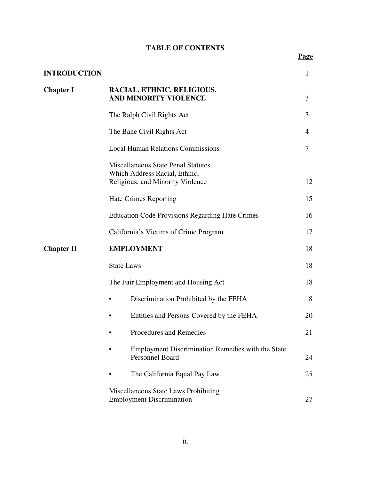#### **TABLE OF CONTENTS**

| <b>INTRODUCTION</b> |                                                                                                                | $\mathbf{1}$   |
|---------------------|----------------------------------------------------------------------------------------------------------------|----------------|
| <b>Chapter I</b>    | RACIAL, ETHNIC, RELIGIOUS,<br>AND MINORITY VIOLENCE                                                            | 3              |
|                     | The Ralph Civil Rights Act                                                                                     | 3              |
|                     | The Bane Civil Rights Act                                                                                      | $\overline{4}$ |
|                     | <b>Local Human Relations Commissions</b>                                                                       | 7              |
|                     | <b>Miscellaneous State Penal Statutes</b><br>Which Address Racial, Ethnic,<br>Religious, and Minority Violence | 12             |
|                     | <b>Hate Crimes Reporting</b>                                                                                   | 15             |
|                     | <b>Education Code Provisions Regarding Hate Crimes</b>                                                         | 16             |
|                     | California's Victims of Crime Program                                                                          | 17             |
| <b>Chapter II</b>   | <b>EMPLOYMENT</b>                                                                                              | 18             |
|                     | <b>State Laws</b>                                                                                              | 18             |
|                     | The Fair Employment and Housing Act                                                                            | 18             |
|                     | Discrimination Prohibited by the FEHA                                                                          | 18             |
|                     | Entities and Persons Covered by the FEHA                                                                       | 20             |
|                     | Procedures and Remedies                                                                                        | 21             |
|                     | <b>Employment Discrimination Remedies with the State</b><br>Personnel Board                                    | 24             |
|                     | The California Equal Pay Law                                                                                   | 25             |
|                     | Miscellaneous State Laws Prohibiting<br><b>Employment Discrimination</b>                                       | 27             |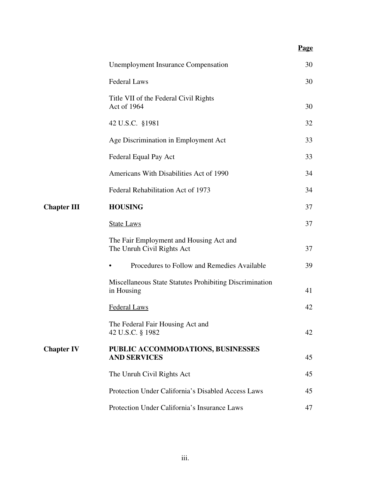|                    | <b>Unemployment Insurance Compensation</b>                            | 30 |
|--------------------|-----------------------------------------------------------------------|----|
|                    | <b>Federal Laws</b>                                                   | 30 |
|                    | Title VII of the Federal Civil Rights<br>Act of 1964                  | 30 |
|                    | 42 U.S.C. §1981                                                       | 32 |
|                    | Age Discrimination in Employment Act                                  | 33 |
|                    | Federal Equal Pay Act                                                 | 33 |
|                    | Americans With Disabilities Act of 1990                               | 34 |
|                    | Federal Rehabilitation Act of 1973                                    | 34 |
| <b>Chapter III</b> | <b>HOUSING</b>                                                        | 37 |
|                    | <b>State Laws</b>                                                     | 37 |
|                    | The Fair Employment and Housing Act and<br>The Unruh Civil Rights Act | 37 |
|                    | Procedures to Follow and Remedies Available                           | 39 |
|                    | Miscellaneous State Statutes Prohibiting Discrimination<br>in Housing | 41 |
|                    | <b>Federal Laws</b>                                                   | 42 |
|                    | The Federal Fair Housing Act and<br>42 U.S.C. § 1982                  | 42 |
| <b>Chapter IV</b>  | PUBLIC ACCOMMODATIONS, BUSINESSES<br><b>AND SERVICES</b>              | 45 |
|                    | The Unruh Civil Rights Act                                            | 45 |
|                    | Protection Under California's Disabled Access Laws                    | 45 |
|                    | Protection Under California's Insurance Laws                          | 47 |

**Page**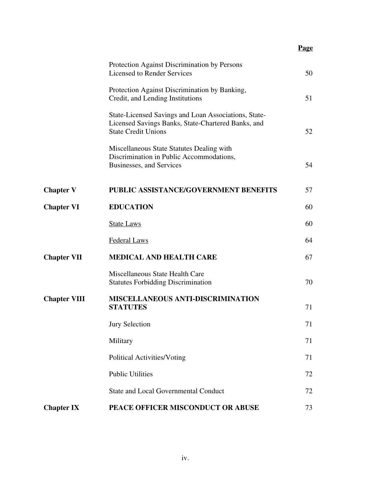|                     |                                                                                                                                          | <b>Page</b> |
|---------------------|------------------------------------------------------------------------------------------------------------------------------------------|-------------|
|                     | Protection Against Discrimination by Persons<br><b>Licensed to Render Services</b>                                                       | 50          |
|                     | Protection Against Discrimination by Banking,<br>Credit, and Lending Institutions                                                        | 51          |
|                     | State-Licensed Savings and Loan Associations, State-<br>Licensed Savings Banks, State-Chartered Banks, and<br><b>State Credit Unions</b> | 52          |
|                     | Miscellaneous State Statutes Dealing with<br>Discrimination in Public Accommodations,<br>Businesses, and Services                        | 54          |
| <b>Chapter V</b>    | <b>PUBLIC ASSISTANCE/GOVERNMENT BENEFITS</b>                                                                                             | 57          |
| <b>Chapter VI</b>   | <b>EDUCATION</b>                                                                                                                         | 60          |
|                     | <b>State Laws</b>                                                                                                                        | 60          |
|                     | <b>Federal Laws</b>                                                                                                                      | 64          |
| <b>Chapter VII</b>  | <b>MEDICAL AND HEALTH CARE</b>                                                                                                           | 67          |
|                     | Miscellaneous State Health Care<br><b>Statutes Forbidding Discrimination</b>                                                             | 70          |
| <b>Chapter VIII</b> | MISCELLANEOUS ANTI-DISCRIMINATION<br><b>STATUTES</b>                                                                                     | 71          |
|                     | <b>Jury Selection</b>                                                                                                                    | 71          |
|                     | Military                                                                                                                                 | 71          |
|                     | Political Activities/Voting                                                                                                              | 71          |
|                     | <b>Public Utilities</b>                                                                                                                  | 72          |
|                     | <b>State and Local Governmental Conduct</b>                                                                                              | 72          |
| <b>Chapter IX</b>   | PEACE OFFICER MISCONDUCT OR ABUSE                                                                                                        | 73          |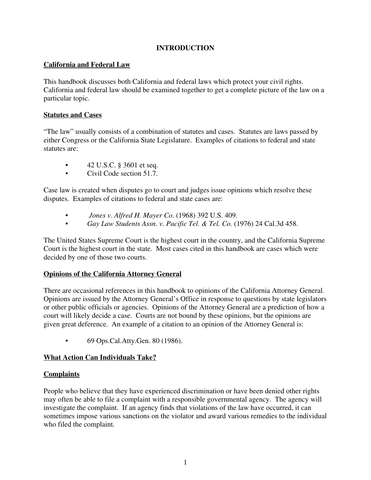#### **INTRODUCTION**

#### **California and Federal Law**

This handbook discusses both California and federal laws which protect your civil rights. California and federal law should be examined together to get a complete picture of the law on a particular topic.

#### **Statutes and Cases**

"The law" usually consists of a combination of statutes and cases. Statutes are laws passed by either Congress or the California State Legislature. Examples of citations to federal and state statutes are:

- $42 \text{ U.S.C. }$  § 3601 et seq.
- Civil Code section 51.7.

Case law is created when disputes go to court and judges issue opinions which resolve these disputes. Examples of citations to federal and state cases are:

- *Jones v. Alfred H. Mayer Co.* (1968) 392 U.S. 409.
- *Gay Law Students Assn. v. Pacific Tel. & Tel. Co.* (1976) 24 Cal.3d 458.

The United States Supreme Court is the highest court in the country, and the California Supreme Court is the highest court in the state. Most cases cited in this handbook are cases which were decided by one of those two courts.

#### **Opinions of the California Attorney General**

There are occasional references in this handbook to opinions of the California Attorney General. Opinions are issued by the Attorney General's Office in response to questions by state legislators or other public officials or agencies. Opinions of the Attorney General are a prediction of how a court will likely decide a case. Courts are not bound by these opinions, but the opinions are given great deference. An example of a citation to an opinion of the Attorney General is:

• 69 Ops.Cal.Atty.Gen. 80 (1986).

#### **What Action Can Individuals Take?**

#### **Complaints**

People who believe that they have experienced discrimination or have been denied other rights may often be able to file a complaint with a responsible governmental agency. The agency will investigate the complaint. If an agency finds that violations of the law have occurred, it can sometimes impose various sanctions on the violator and award various remedies to the individual who filed the complaint.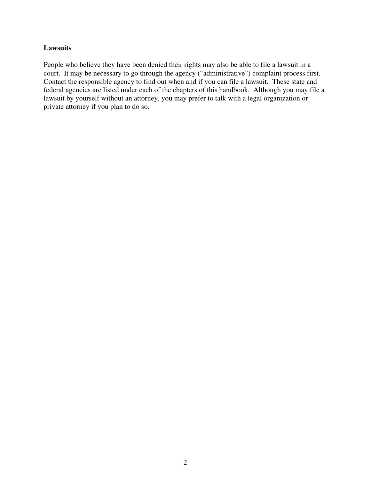#### **Lawsuits**

People who believe they have been denied their rights may also be able to file a lawsuit in a court. It may be necessary to go through the agency ("administrative") complaint process first. Contact the responsible agency to find out when and if you can file a lawsuit. These state and federal agencies are listed under each of the chapters of this handbook. Although you may file a lawsuit by yourself without an attorney, you may prefer to talk with a legal organization or private attorney if you plan to do so.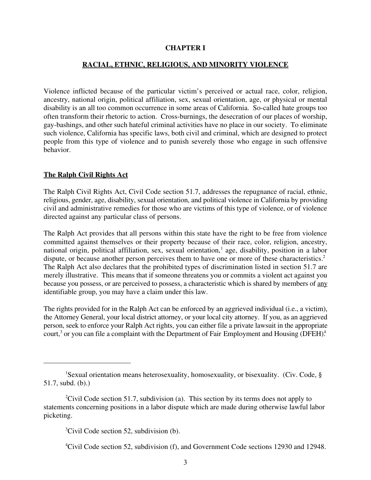#### **CHAPTER I**

#### **RACIAL, ETHNIC, RELIGIOUS, AND MINORITY VIOLENCE**

Violence inflicted because of the particular victim's perceived or actual race, color, religion, ancestry, national origin, political affiliation, sex, sexual orientation, age, or physical or mental disability is an all too common occurrence in some areas of California. So-called hate groups too often transform their rhetoric to action. Cross-burnings, the desecration of our places of worship, gay-bashings, and other such hateful criminal activities have no place in our society. To eliminate such violence, California has specific laws, both civil and criminal, which are designed to protect people from this type of violence and to punish severely those who engage in such offensive behavior.

#### **The Ralph Civil Rights Act**

The Ralph Civil Rights Act, Civil Code section 51.7, addresses the repugnance of racial, ethnic, religious, gender, age, disability, sexual orientation, and political violence in California by providing civil and administrative remedies for those who are victims of this type of violence, or of violence directed against any particular class of persons.

The Ralph Act provides that all persons within this state have the right to be free from violence committed against themselves or their property because of their race, color, religion, ancestry, national origin, political affiliation, sex, sexual orientation, age, disability, position in a labor dispute, or because another person perceives them to have one or more of these characteristics.<sup>2</sup> The Ralph Act also declares that the prohibited types of discrimination listed in section 51.7 are merely illustrative. This means that if someone threatens you or commits a violent act against you because you possess, or are perceived to possess, a characteristic which is shared by members of any identifiable group, you may have a claim under this law.

The rights provided for in the Ralph Act can be enforced by an aggrieved individual (i.e., a victim), the Attorney General, your local district attorney, or your local city attorney. If you, as an aggrieved person, seek to enforce your Ralph Act rights, you can either file a private lawsuit in the appropriate court,<sup>3</sup> or you can file a complaint with the Department of Fair Employment and Housing (DFEH).<sup>4</sup>

<sup>&</sup>lt;sup>1</sup>Sexual orientation means heterosexuality, homosexuality, or bisexuality. (Civ. Code, § 51.7, subd. (b).)

<sup>&</sup>lt;sup>2</sup>Civil Code section 51.7, subdivision (a). This section by its terms does not apply to statements concerning positions in a labor dispute which are made during otherwise lawful labor picketing.

 ${}^{3}$ Civil Code section 52, subdivision (b).

<sup>&</sup>lt;sup>4</sup>Civil Code section 52, subdivision (f), and Government Code sections 12930 and 12948.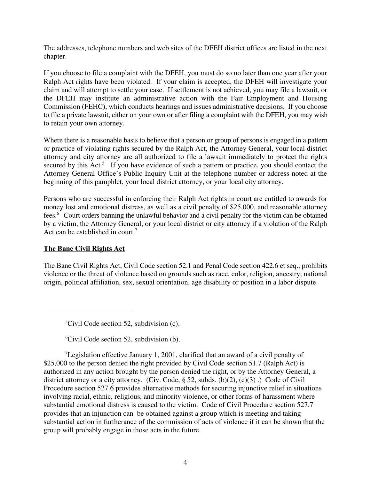The addresses, telephone numbers and web sites of the DFEH district offices are listed in the next chapter.

If you choose to file a complaint with the DFEH, you must do so no later than one year after your Ralph Act rights have been violated. If your claim is accepted, the DFEH will investigate your claim and will attempt to settle your case. If settlement is not achieved, you may file a lawsuit, or the DFEH may institute an administrative action with the Fair Employment and Housing Commission (FEHC), which conducts hearings and issues administrative decisions. If you choose to file a private lawsuit, either on your own or after filing a complaint with the DFEH, you may wish to retain your own attorney.

Where there is a reasonable basis to believe that a person or group of persons is engaged in a pattern or practice of violating rights secured by the Ralph Act, the Attorney General, your local district attorney and city attorney are all authorized to file a lawsuit immediately to protect the rights secured by this Act.<sup>5</sup> If you have evidence of such a pattern or practice, you should contact the Attorney General Office's Public Inquiry Unit at the telephone number or address noted at the beginning of this pamphlet, your local district attorney, or your local city attorney.

Persons who are successful in enforcing their Ralph Act rights in court are entitled to awards for money lost and emotional distress, as well as a civil penalty of \$25,000, and reasonable attorney fees.<sup>6</sup> Court orders banning the unlawful behavior and a civil penalty for the victim can be obtained by a victim, the Attorney General, or your local district or city attorney if a violation of the Ralph Act can be established in court.<sup>7</sup>

#### **The Bane Civil Rights Act**

The Bane Civil Rights Act, Civil Code section 52.1 and Penal Code section 422.6 et seq., prohibits violence or the threat of violence based on grounds such as race, color, religion, ancestry, national origin, political affiliation, sex, sexual orientation, age disability or position in a labor dispute.

 ${}^{6}$ Civil Code section 52, subdivision (b).

<sup>7</sup>Legislation effective January 1, 2001, clarified that an award of a civil penalty of \$25,000 to the person denied the right provided by Civil Code section 51.7 (Ralph Act) is authorized in any action brought by the person denied the right, or by the Attorney General, a district attorney or a city attorney. (Civ. Code, § 52, subds. (b)(2), (c)(3) .) Code of Civil Procedure section 527.6 provides alternative methods for securing injunctive relief in situations involving racial, ethnic, religious, and minority violence, or other forms of harassment where substantial emotional distress is caused to the victim. Code of Civil Procedure section 527.7 provides that an injunction can be obtained against a group which is meeting and taking substantial action in furtherance of the commission of acts of violence if it can be shown that the group will probably engage in those acts in the future.

<sup>&</sup>lt;sup>5</sup>Civil Code section 52, subdivision (c).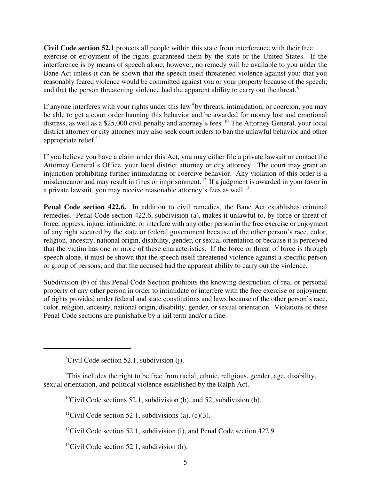**Civil Code section 52.1** protects all people within this state from interference with their free exercise or enjoyment of the rights guaranteed them by the state or the United States. If the interference is by means of speech alone, however, no remedy will be available to you under the Bane Act unless it can be shown that the speech itself threatened violence against you; that you reasonably feared violence would be committed against you or your property because of the speech; and that the person threatening violence had the apparent ability to carry out the threat.<sup>8</sup>

If anyone interferes with your rights under this law  $9$  by threats, intimidation, or coercion, you may be able to get a court order banning this behavior and be awarded for money lost and emotional distress, as well as a \$25,000 civil penalty and attorney's fees. <sup>10</sup> The Attorney General, your local district attorney or city attorney may also seek court orders to ban the unlawful behavior and other appropriate relief.<sup>11</sup>

If you believe you have a claim under this Act, you may either file a private lawsuit or contact the Attorney General's Office, your local district attorney or city attorney. The court may grant an injunction prohibiting further intimidating or coercive behavior. Any violation of this order is a misdemeanor and may result in fines or imprisonment.<sup>12</sup> If a judgment is awarded in your favor in a private lawsuit, you may receive reasonable attorney's fees as well.<sup>13</sup>

Penal Code section 422.6. In addition to civil remedies, the Bane Act establishes criminal remedies. Penal Code section 422.6, subdivision (a), makes it unlawful to, by force or threat of force, oppress, injure, intimidate, or interfere with any other person in the free exercise or enjoyment of any right secured by the state or federal government because of the other person's race, color, religion, ancestry, national origin, disability, gender, or sexual orientation or because it is perceived that the victim has one or more of these characteristics. If the force or threat of force is through speech alone, it must be shown that the speech itself threatened violence against a specific person or group of persons, and that the accused had the apparent ability to carry out the violence.

Subdivision (b) of this Penal Code Section prohibits the knowing destruction of real or personal property of any other person in order to intimidate or interfere with the free exercise or enjoyment of rights provided under federal and state constitutions and laws because of the other person's race, color, religion, ancestry, national origin, disability, gender, or sexual orientation. Violations of these Penal Code sections are punishable by a jail term and/or a fine.

 ${}^8$ Civil Code section 52.1, subdivision (j).

<sup>&</sup>lt;sup>9</sup>This includes the right to be free from racial, ethnic, religious, gender, age, disability, sexual orientation, and political violence established by the Ralph Act.

<sup>&</sup>lt;sup>10</sup>Civil Code sections 52.1, subdivision (b), and 52, subdivision (b).

<sup>&</sup>lt;sup>11</sup>Civil Code section 52.1, subdivisions (a), (c)(3).

<sup>&</sup>lt;sup>12</sup>Civil Code section 52.1, subdivision (i), and Penal Code section 422.9.

 $^{13}$ Civil Code section 52.1, subdivision (h).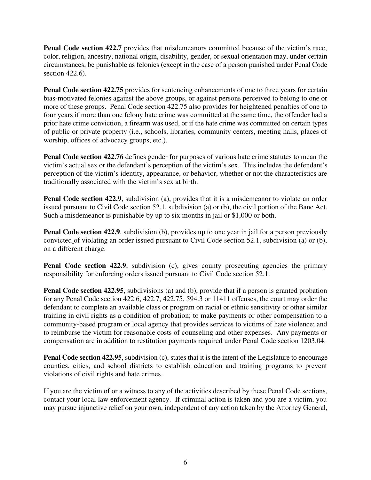**Penal Code section 422.7** provides that misdemeanors committed because of the victim's race, color, religion, ancestry, national origin, disability, gender, or sexual orientation may, under certain circumstances, be punishable as felonies (except in the case of a person punished under Penal Code section 422.6).

**Penal Code section 422.75** provides for sentencing enhancements of one to three years for certain bias-motivated felonies against the above groups, or against persons perceived to belong to one or more of these groups. Penal Code section 422.75 also provides for heightened penalties of one to four years if more than one felony hate crime was committed at the same time, the offender had a prior hate crime conviction, a firearm was used, or if the hate crime was committed on certain types of public or private property (i.e., schools, libraries, community centers, meeting halls, places of worship, offices of advocacy groups, etc.).

**Penal Code section 422.76** defines gender for purposes of various hate crime statutes to mean the victim's actual sex or the defendant's perception of the victim's sex. This includes the defendant's perception of the victim's identity, appearance, or behavior, whether or not the characteristics are traditionally associated with the victim's sex at birth.

**Penal Code section 422.9**, subdivision (a), provides that it is a misdemeanor to violate an order issued pursuant to Civil Code section 52.1, subdivision (a) or (b), the civil portion of the Bane Act. Such a misdemeanor is punishable by up to six months in jail or \$1,000 or both.

**Penal Code section 422.9**, subdivision (b), provides up to one year in jail for a person previously convicted of violating an order issued pursuant to Civil Code section 52.1, subdivision (a) or (b), on a different charge.

**Penal Code section 422.9**, subdivision (c), gives county prosecuting agencies the primary responsibility for enforcing orders issued pursuant to Civil Code section 52.1.

Penal Code section 422.95, subdivisions (a) and (b), provide that if a person is granted probation for any Penal Code section 422.6, 422.7, 422.75, 594.3 or 11411 offenses, the court may order the defendant to complete an available class or program on racial or ethnic sensitivity or other similar training in civil rights as a condition of probation; to make payments or other compensation to a community-based program or local agency that provides services to victims of hate violence; and to reimburse the victim for reasonable costs of counseling and other expenses. Any payments or compensation are in addition to restitution payments required under Penal Code section 1203.04.

**Penal Code section 422.95**, subdivision (c), states that it is the intent of the Legislature to encourage counties, cities, and school districts to establish education and training programs to prevent violations of civil rights and hate crimes.

If you are the victim of or a witness to any of the activities described by these Penal Code sections, contact your local law enforcement agency. If criminal action is taken and you are a victim, you may pursue injunctive relief on your own, independent of any action taken by the Attorney General,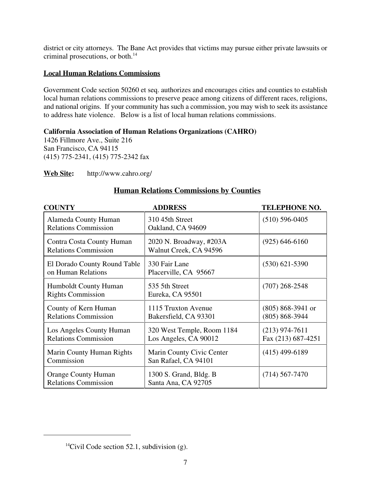district or city attorneys. The Bane Act provides that victims may pursue either private lawsuits or criminal prosecutions, or both.<sup>14</sup>

#### **Local Human Relations Commissions**

Government Code section 50260 et seq. authorizes and encourages cities and counties to establish local human relations commissions to preserve peace among citizens of different races, religions, and national origins. If your community has such a commission, you may wish to seek its assistance to address hate violence. Below is a list of local human relations commissions.

#### **California Association of Human Relations Organizations (CAHRO)**

1426 Fillmore Ave., Suite 216 San Francisco, CA 94115 (415) 775-2341, (415) 775-2342 fax

#### **Web Site:** http://www.cahro.org/

| <b>COUNTY</b>                                             | <b>ADDRESS</b>                                      | <b>TELEPHONE NO.</b>                        |
|-----------------------------------------------------------|-----------------------------------------------------|---------------------------------------------|
| Alameda County Human<br><b>Relations Commission</b>       | 310 45th Street<br>Oakland, CA 94609                | $(510) 596 - 0405$                          |
| Contra Costa County Human<br><b>Relations Commission</b>  | 2020 N. Broadway, #203A<br>Walnut Creek, CA 94596   | $(925) 646-6160$                            |
| El Dorado County Round Table<br>on Human Relations        | 330 Fair Lane<br>Placerville, CA 95667              | $(530)$ 621-5390                            |
| Humboldt County Human<br><b>Rights Commission</b>         | 535 5th Street<br>Eureka, CA 95501                  | $(707)$ 268-2548                            |
| County of Kern Human<br><b>Relations Commission</b>       | 1115 Truxton Avenue<br>Bakersfield, CA 93301        | $(805) 868 - 3941$ or<br>$(805) 868 - 3944$ |
| Los Angeles County Human<br><b>Relations Commission</b>   | 320 West Temple, Room 1184<br>Los Angeles, CA 90012 | $(213)$ 974-7611<br>Fax (213) 687-4251      |
| Marin County Human Rights<br>Commission                   | Marin County Civic Center<br>San Rafael, CA 94101   | $(415)$ 499-6189                            |
| <b>Orange County Human</b><br><b>Relations Commission</b> | 1300 S. Grand, Bldg. B<br>Santa Ana, CA 92705       | $(714)$ 567-7470                            |

#### **Human Relations Commissions by Counties**

<sup>&</sup>lt;sup>14</sup>Civil Code section 52.1, subdivision (g).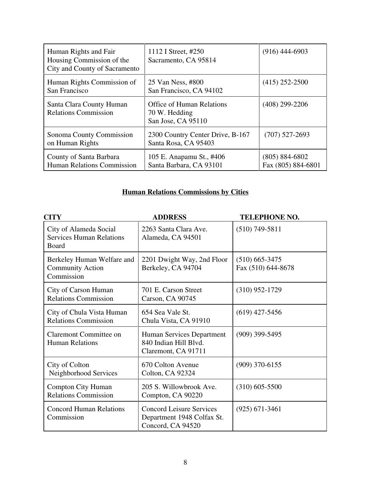| Human Rights and Fair<br>Housing Commission of the<br>City and County of Sacramento | 1112 I Street, #250<br>Sacramento, CA 95814                             | $(916)$ 444-6903                       |
|-------------------------------------------------------------------------------------|-------------------------------------------------------------------------|----------------------------------------|
| Human Rights Commission of<br>San Francisco                                         | 25 Van Ness, #800<br>San Francisco, CA 94102                            | $(415)$ 252-2500                       |
| Santa Clara County Human<br><b>Relations Commission</b>                             | <b>Office of Human Relations</b><br>70 W. Hedding<br>San Jose, CA 95110 | $(408)$ 299-2206                       |
| Sonoma County Commission<br>on Human Rights                                         | 2300 Country Center Drive, B-167<br>Santa Rosa, CA 95403                | $(707)$ 527-2693                       |
| County of Santa Barbara<br><b>Human Relations Commission</b>                        | 105 E. Anapamu St., #406<br>Santa Barbara, CA 93101                     | $(805) 884-6802$<br>Fax (805) 884-6801 |

#### **Human Relations Commissions by Cities**

| <b>CITY</b>                                                         | <b>ADDRESS</b>                                                                     | <b>TELEPHONE NO.</b>                   |
|---------------------------------------------------------------------|------------------------------------------------------------------------------------|----------------------------------------|
| City of Alameda Social<br><b>Services Human Relations</b><br>Board  | 2263 Santa Clara Ave.<br>Alameda, CA 94501                                         | $(510)$ 749-5811                       |
| Berkeley Human Welfare and<br><b>Community Action</b><br>Commission | 2201 Dwight Way, 2nd Floor<br>Berkeley, CA 94704                                   | $(510)$ 665-3475<br>Fax (510) 644-8678 |
| City of Carson Human<br><b>Relations Commission</b>                 | 701 E. Carson Street<br>Carson, CA 90745                                           | $(310)$ 952-1729                       |
| City of Chula Vista Human<br><b>Relations Commission</b>            | 654 Sea Vale St.<br>Chula Vista, CA 91910                                          | $(619)$ 427-5456                       |
| <b>Claremont Committee on</b><br><b>Human Relations</b>             | Human Services Department<br>840 Indian Hill Blvd.<br>Claremont, CA 91711          | $(909)$ 399-5495                       |
| City of Colton<br>Neighborhood Services                             | 670 Colton Avenue<br>Colton, CA 92324                                              | $(909)$ 370-6155                       |
| <b>Compton City Human</b><br><b>Relations Commission</b>            | 205 S. Willowbrook Ave.<br>Compton, CA 90220                                       | $(310)$ 605-5500                       |
| <b>Concord Human Relations</b><br>Commission                        | <b>Concord Leisure Services</b><br>Department 1948 Colfax St.<br>Concord, CA 94520 | $(925) 671 - 3461$                     |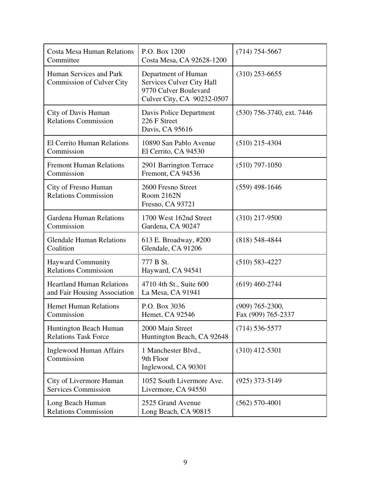| Costa Mesa Human Relations<br>Committee                          | P.O. Box 1200<br>Costa Mesa, CA 92628-1200                                                              | $(714)$ 754-5667                        |
|------------------------------------------------------------------|---------------------------------------------------------------------------------------------------------|-----------------------------------------|
| Human Services and Park<br><b>Commission of Culver City</b>      | Department of Human<br>Services Culver City Hall<br>9770 Culver Boulevard<br>Culver City, CA 90232-0507 | $(310)$ 253-6655                        |
| City of Davis Human<br><b>Relations Commission</b>               | Davis Police Department<br>226 F Street<br>Davis, CA 95616                                              | (530) 756-3740, ext. 7446               |
| <b>El Cerrito Human Relations</b><br>Commission                  | 10890 San Pablo Avenue<br>El Cerrito, CA 94530                                                          | $(510)$ 215-4304                        |
| <b>Fremont Human Relations</b><br>Commission                     | 2901 Barrington Terrace<br>Fremont, CA 94536                                                            | $(510)$ 797-1050                        |
| City of Fresno Human<br><b>Relations Commission</b>              | 2600 Fresno Street<br>Room 2162N<br>Fresno, CA 93721                                                    | $(559)$ 498-1646                        |
| <b>Gardena Human Relations</b><br>Commission                     | 1700 West 162nd Street<br>Gardena, CA 90247                                                             | $(310)$ 217-9500                        |
| <b>Glendale Human Relations</b><br>Coalition                     | 613 E. Broadway, #200<br>Glendale, CA 91206                                                             | $(818)$ 548-4844                        |
| <b>Hayward Community</b><br><b>Relations Commission</b>          | 777 B St.<br>Hayward, CA 94541                                                                          | $(510) 583 - 4227$                      |
| <b>Heartland Human Relations</b><br>and Fair Housing Association | 4710 4th St., Suite 600<br>La Mesa, CA 91941                                                            | $(619)$ 460-2744                        |
| <b>Hemet Human Relations</b><br>Commission                       | P.O. Box 3036<br>Hemet, CA 92546                                                                        | $(909)$ 765-2300,<br>Fax (909) 765-2337 |
| Huntington Beach Human<br><b>Relations Task Force</b>            | 2000 Main Street<br>Huntington Beach, CA 92648                                                          | $(714)$ 536-5577                        |
| <b>Inglewood Human Affairs</b><br>Commission                     | 1 Manchester Blvd.,<br>9th Floor<br>Inglewood, CA 90301                                                 | $(310)$ 412-5301                        |
| City of Livermore Human<br><b>Services Commission</b>            | 1052 South Livermore Ave.<br>Livermore, CA 94550                                                        | $(925)$ 373-5149                        |
| Long Beach Human<br><b>Relations Commission</b>                  | 2525 Grand Avenue<br>Long Beach, CA 90815                                                               | $(562)$ 570-4001                        |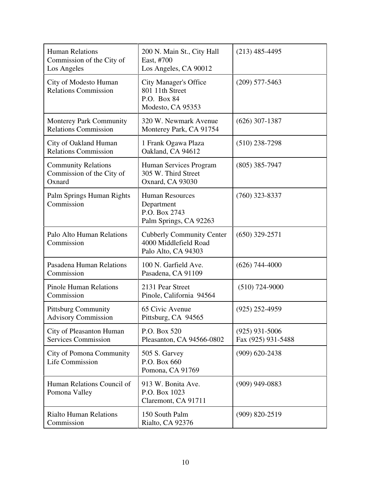| <b>Human Relations</b><br>Commission of the City of<br>Los Angeles | 200 N. Main St., City Hall<br>East, #700<br>Los Angeles, CA 90012                   | $(213)$ 485-4495                       |
|--------------------------------------------------------------------|-------------------------------------------------------------------------------------|----------------------------------------|
| City of Modesto Human<br><b>Relations Commission</b>               | <b>City Manager's Office</b><br>801 11th Street<br>P.O. Box 84<br>Modesto, CA 95353 | $(209)$ 577-5463                       |
| <b>Monterey Park Community</b><br><b>Relations Commission</b>      | 320 W. Newmark Avenue<br>Monterey Park, CA 91754                                    | $(626)$ 307-1387                       |
| City of Oakland Human<br><b>Relations Commission</b>               | 1 Frank Ogawa Plaza<br>Oakland, CA 94612                                            | $(510)$ 238-7298                       |
| <b>Community Relations</b><br>Commission of the City of<br>Oxnard  | Human Services Program<br>305 W. Third Street<br>Oxnard, CA 93030                   | $(805)$ 385-7947                       |
| Palm Springs Human Rights<br>Commission                            | <b>Human Resources</b><br>Department<br>P.O. Box 2743<br>Palm Springs, CA 92263     | $(760)$ 323-8337                       |
| Palo Alto Human Relations<br>Commission                            | <b>Cubberly Community Center</b><br>4000 Middlefield Road<br>Palo Alto, CA 94303    | $(650)$ 329-2571                       |
| Pasadena Human Relations<br>Commission                             | 100 N. Garfield Ave.<br>Pasadena, CA 91109                                          | $(626)$ 744-4000                       |
| <b>Pinole Human Relations</b><br>Commission                        | 2131 Pear Street<br>Pinole, California 94564                                        | $(510)$ 724-9000                       |
| <b>Pittsburg Community</b><br><b>Advisory Commission</b>           | 65 Civic Avenue<br>Pittsburg, CA 94565                                              | $(925)$ 252-4959                       |
| City of Pleasanton Human<br><b>Services Commission</b>             | P.O. Box 520<br>Pleasanton, CA 94566-0802                                           | $(925)$ 931-5006<br>Fax (925) 931-5488 |
| City of Pomona Community<br>Life Commission                        | 505 S. Garvey<br>P.O. Box 660<br>Pomona, CA 91769                                   | $(909) 620 - 2438$                     |
| Human Relations Council of<br>Pomona Valley                        | 913 W. Bonita Ave.<br>P.O. Box 1023<br>Claremont, CA 91711                          | $(909)$ 949-0883                       |
| <b>Rialto Human Relations</b><br>Commission                        | 150 South Palm<br>Rialto, CA 92376                                                  | $(909)$ 820-2519                       |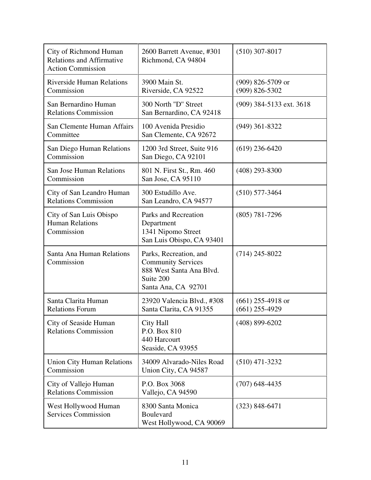| City of Richmond Human<br><b>Relations and Affirmative</b><br><b>Action Commission</b> | 2600 Barrett Avenue, #301<br>Richmond, CA 94804                                                                     | $(510)$ 307-8017                        |
|----------------------------------------------------------------------------------------|---------------------------------------------------------------------------------------------------------------------|-----------------------------------------|
| <b>Riverside Human Relations</b><br>Commission                                         | 3900 Main St.<br>Riverside, CA 92522                                                                                | (909) 826-5709 or<br>$(909) 826 - 5302$ |
| San Bernardino Human<br><b>Relations Commission</b>                                    | 300 North "D" Street<br>San Bernardino, CA 92418                                                                    | (909) 384-5133 ext. 3618                |
| San Clemente Human Affairs<br>Committee                                                | 100 Avenida Presidio<br>San Clemente, CA 92672                                                                      | $(949)$ 361-8322                        |
| San Diego Human Relations<br>Commission                                                | 1200 3rd Street, Suite 916<br>San Diego, CA 92101                                                                   | $(619)$ 236-6420                        |
| San Jose Human Relations<br>Commission                                                 | 801 N. First St., Rm. 460<br>San Jose, CA 95110                                                                     | $(408)$ 293-8300                        |
| City of San Leandro Human<br><b>Relations Commission</b>                               | 300 Estudillo Ave.<br>San Leandro, CA 94577                                                                         | $(510)$ 577-3464                        |
| City of San Luis Obispo<br><b>Human Relations</b><br>Commission                        | Parks and Recreation<br>Department<br>1341 Nipomo Street<br>San Luis Obispo, CA 93401                               | $(805) 781 - 7296$                      |
| Santa Ana Human Relations<br>Commission                                                | Parks, Recreation, and<br><b>Community Services</b><br>888 West Santa Ana Blvd.<br>Suite 200<br>Santa Ana, CA 92701 | $(714)$ 245-8022                        |
| Santa Clarita Human<br><b>Relations Forum</b>                                          | 23920 Valencia Blvd., #308<br>Santa Clarita, CA 91355                                                               | $(661)$ 255-4918 or<br>$(661)$ 255-4929 |
| City of Seaside Human<br><b>Relations Commission</b>                                   | City Hall<br>P.O. Box 810<br>440 Harcourt<br>Seaside, CA 93955                                                      | $(408) 899 - 6202$                      |
| <b>Union City Human Relations</b><br>Commission                                        | 34009 Alvarado-Niles Road<br>Union City, CA 94587                                                                   | $(510)$ 471-3232                        |
| City of Vallejo Human<br><b>Relations Commission</b>                                   | P.O. Box 3068<br>Vallejo, CA 94590                                                                                  | $(707)$ 648-4435                        |
| West Hollywood Human<br><b>Services Commission</b>                                     | 8300 Santa Monica<br>Boulevard<br>West Hollywood, CA 90069                                                          | $(323) 848 - 6471$                      |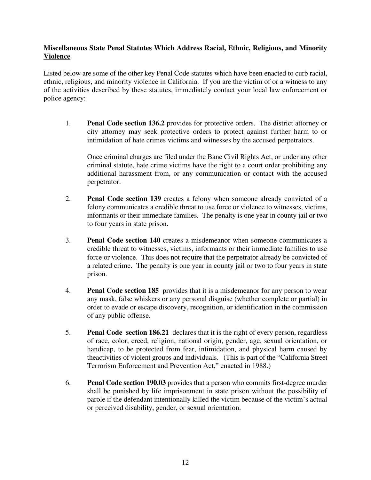#### **Miscellaneous State Penal Statutes Which Address Racial, Ethnic, Religious, and Minority Violence**

Listed below are some of the other key Penal Code statutes which have been enacted to curb racial, ethnic, religious, and minority violence in California. If you are the victim of or a witness to any of the activities described by these statutes, immediately contact your local law enforcement or police agency:

1. **Penal Code section 136.2** provides for protective orders. The district attorney or city attorney may seek protective orders to protect against further harm to or intimidation of hate crimes victims and witnesses by the accused perpetrators.

Once criminal charges are filed under the Bane Civil Rights Act, or under any other criminal statute, hate crime victims have the right to a court order prohibiting any additional harassment from, or any communication or contact with the accused perpetrator.

- 2. **Penal Code section 139** creates a felony when someone already convicted of a felony communicates a credible threat to use force or violence to witnesses, victims, informants or their immediate families. The penalty is one year in county jail or two to four years in state prison.
- 3. **Penal Code section 140** creates a misdemeanor when someone communicates a credible threat to witnesses, victims, informants or their immediate families to use force or violence. This does not require that the perpetrator already be convicted of a related crime. The penalty is one year in county jail or two to four years in state prison.
- 4. **Penal Code section 185** provides that it is a misdemeanor for any person to wear any mask, false whiskers or any personal disguise (whether complete or partial) in order to evade or escape discovery, recognition, or identification in the commission of any public offense.
- 5. **Penal Code section 186.21** declares that it is the right of every person, regardless of race, color, creed, religion, national origin, gender, age, sexual orientation, or handicap, to be protected from fear, intimidation, and physical harm caused by theactivities of violent groups and individuals. (This is part of the "California Street Terrorism Enforcement and Prevention Act," enacted in 1988.)
- 6. **Penal Code section 190.03** provides that a person who commits first-degree murder shall be punished by life imprisonment in state prison without the possibility of parole if the defendant intentionally killed the victim because of the victim's actual or perceived disability, gender, or sexual orientation.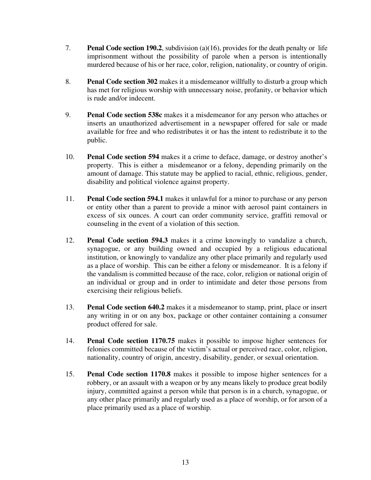- 7. **Penal Code section 190.2**, subdivision (a)(16), provides for the death penalty or life imprisonment without the possibility of parole when a person is intentionally murdered because of his or her race, color, religion, nationality, or country of origin.
- 8. **Penal Code section 302** makes it a misdemeanor willfully to disturb a group which has met for religious worship with unnecessary noise, profanity, or behavior which is rude and/or indecent.
- 9. **Penal Code section 538c** makes it a misdemeanor for any person who attaches or inserts an unauthorized advertisement in a newspaper offered for sale or made available for free and who redistributes it or has the intent to redistribute it to the public.
- 10. **Penal Code section 594** makes it a crime to deface, damage, or destroy another's property. This is either a misdemeanor or a felony, depending primarily on the amount of damage. This statute may be applied to racial, ethnic, religious, gender, disability and political violence against property.
- 11. **Penal Code section 594.1** makes it unlawful for a minor to purchase or any person or entity other than a parent to provide a minor with aerosol paint containers in excess of six ounces. A court can order community service, graffiti removal or counseling in the event of a violation of this section.
- 12. **Penal Code section 594.3** makes it a crime knowingly to vandalize a church, synagogue, or any building owned and occupied by a religious educational institution, or knowingly to vandalize any other place primarily and regularly used as a place of worship. This can be either a felony or misdemeanor. It is a felony if the vandalism is committed because of the race, color, religion or national origin of an individual or group and in order to intimidate and deter those persons from exercising their religious beliefs.
- 13. **Penal Code section 640.2** makes it a misdemeanor to stamp, print, place or insert any writing in or on any box, package or other container containing a consumer product offered for sale.
- 14. **Penal Code section 1170.75** makes it possible to impose higher sentences for felonies committed because of the victim's actual or perceived race, color, religion, nationality, country of origin, ancestry, disability, gender, or sexual orientation.
- 15. **Penal Code section 1170.8** makes it possible to impose higher sentences for a robbery, or an assault with a weapon or by any means likely to produce great bodily injury, committed against a person while that person is in a church, synagogue, or any other place primarily and regularly used as a place of worship, or for arson of a place primarily used as a place of worship.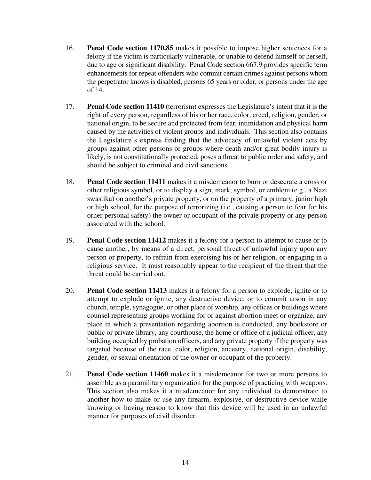- 16. **Penal Code section 1170.85** makes it possible to impose higher sentences for a felony if the victim is particularly vulnerable, or unable to defend himself or herself, due to age or significant disability. Penal Code section 667.9 provides specific term enhancements for repeat offenders who commit certain crimes against persons whom the perpetrator knows is disabled, persons 65 years or older, or persons under the age of 14.
- 17. **Penal Code section 11410** (terrorism) expresses the Legislature's intent that it is the right of every person, regardless of his or her race, color, creed, religion, gender, or national origin, to be secure and protected from fear, intimidation and physical harm caused by the activities of violent groups and individuals. This section also contains the Legislature's express finding that the advocacy of unlawful violent acts by groups against other persons or groups where death and/or great bodily injury is likely, is not constitutionally protected, poses a threat to public order and safety, and should be subject to criminal and civil sanctions.
- 18. **Penal Code section 11411** makes it a misdemeanor to burn or desecrate a cross or other religious symbol, or to display a sign, mark, symbol, or emblem (e.g., a Nazi swastika) on another's private property, or on the property of a primary, junior high or high school, for the purpose of terrorizing (i.e., causing a person to fear for his orher personal safety) the owner or occupant of the private property or any person associated with the school.
- 19. **Penal Code section 11412** makes it a felony for a person to attempt to cause or to cause another, by means of a direct, personal threat of unlawful injury upon any person or property, to refrain from exercising his or her religion, or engaging in a religious service. It must reasonably appear to the recipient of the threat that the threat could be carried out.
- 20. **Penal Code section 11413** makes it a felony for a person to explode, ignite or to attempt to explode or ignite, any destructive device, or to commit arson in any church, temple, synagogue, or other place of worship, any offices or buildings where counsel representing groups working for or against abortion meet or organize, any place in which a presentation regarding abortion is conducted, any bookstore or public or private library, any courthouse, the home or office of a judicial officer, any building occupied by probation officers, and any private property if the property was targeted because of the race, color, religion, ancestry, national origin, disability, gender, or sexual orientation of the owner or occupant of the property.
- 21. **Penal Code section 11460** makes it a misdemeanor for two or more persons to assemble as a paramilitary organization for the purpose of practicing with weapons. This section also makes it a misdemeanor for any individual to demonstrate to another how to make or use any firearm, explosive, or destructive device while knowing or having reason to know that this device will be used in an unlawful manner for purposes of civil disorder.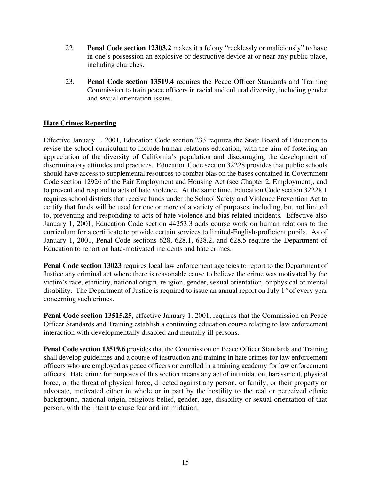- 22. **Penal Code section 12303.2** makes it a felony "recklessly or maliciously" to have in one's possession an explosive or destructive device at or near any public place, including churches.
- 23. **Penal Code section 13519.4** requires the Peace Officer Standards and Training Commission to train peace officers in racial and cultural diversity, including gender and sexual orientation issues.

#### **Hate Crimes Reporting**

Effective January 1, 2001, Education Code section 233 requires the State Board of Education to revise the school curriculum to include human relations education, with the aim of fostering an appreciation of the diversity of California's population and discouraging the development of discriminatory attitudes and practices. Education Code section 32228 provides that public schools should have access to supplemental resources to combat bias on the bases contained in Government Code section 12926 of the Fair Employment and Housing Act (see Chapter 2, Employment), and to prevent and respond to acts of hate violence. At the same time, Education Code section 32228.1 requires school districts that receive funds under the School Safety and Violence Prevention Act to certify that funds will be used for one or more of a variety of purposes, including, but not limited to, preventing and responding to acts of hate violence and bias related incidents. Effective also January 1, 2001, Education Code section 44253.3 adds course work on human relations to the curriculum for a certificate to provide certain services to limited-English-proficient pupils. As of January 1, 2001, Penal Code sections 628, 628.1, 628.2, and 628.5 require the Department of Education to report on hate-motivated incidents and hate crimes.

**Penal Code section 13023** requires local law enforcement agencies to report to the Department of Justice any criminal act where there is reasonable cause to believe the crime was motivated by the victim's race, ethnicity, national origin, religion, gender, sexual orientation, or physical or mental disability. The Department of Justice is required to issue an annual report on July  $1<sup>st</sup>$  of every year concerning such crimes.

**Penal Code section 13515.25**, effective January 1, 2001, requires that the Commission on Peace Officer Standards and Training establish a continuing education course relating to law enforcement interaction with developmentally disabled and mentally ill persons.

**Penal Code section 13519.6** provides that the Commission on Peace Officer Standards and Training shall develop guidelines and a course of instruction and training in hate crimes for law enforcement officers who are employed as peace officers or enrolled in a training academy for law enforcement officers. Hate crime for purposes of this section means any act of intimidation, harassment, physical force, or the threat of physical force, directed against any person, or family, or their property or advocate, motivated either in whole or in part by the hostility to the real or perceived ethnic background, national origin, religious belief, gender, age, disability or sexual orientation of that person, with the intent to cause fear and intimidation.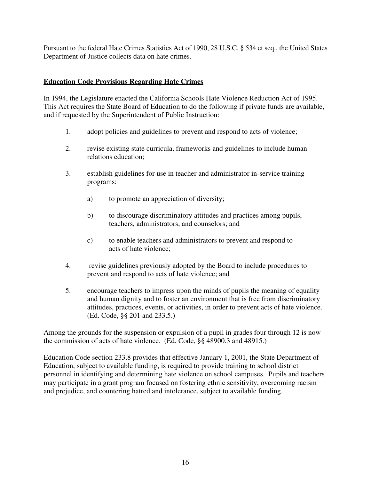Pursuant to the federal Hate Crimes Statistics Act of 1990, 28 U.S.C. § 534 et seq., the United States Department of Justice collects data on hate crimes.

#### **Education Code Provisions Regarding Hate Crimes**

In 1994, the Legislature enacted the California Schools Hate Violence Reduction Act of 1995. This Act requires the State Board of Education to do the following if private funds are available, and if requested by the Superintendent of Public Instruction:

- 1. adopt policies and guidelines to prevent and respond to acts of violence;
- 2. revise existing state curricula, frameworks and guidelines to include human relations education;
- 3. establish guidelines for use in teacher and administrator in-service training programs:
	- a) to promote an appreciation of diversity;
	- b) to discourage discriminatory attitudes and practices among pupils, teachers, administrators, and counselors; and
	- c) to enable teachers and administrators to prevent and respond to acts of hate violence;
- 4. revise guidelines previously adopted by the Board to include procedures to prevent and respond to acts of hate violence; and
- 5. encourage teachers to impress upon the minds of pupils the meaning of equality and human dignity and to foster an environment that is free from discriminatory attitudes, practices, events, or activities, in order to prevent acts of hate violence. (Ed. Code, §§ 201 and 233.5.)

Among the grounds for the suspension or expulsion of a pupil in grades four through 12 is now the commission of acts of hate violence. (Ed. Code, §§ 48900.3 and 48915.)

Education Code section 233.8 provides that effective January 1, 2001, the State Department of Education, subject to available funding, is required to provide training to school district personnel in identifying and determining hate violence on school campuses. Pupils and teachers may participate in a grant program focused on fostering ethnic sensitivity, overcoming racism and prejudice, and countering hatred and intolerance, subject to available funding.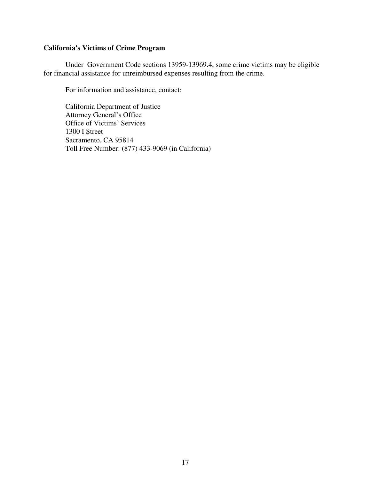#### **California's Victims of Crime Program**

Under Government Code sections 13959-13969.4, some crime victims may be eligible for financial assistance for unreimbursed expenses resulting from the crime.

For information and assistance, contact:

California Department of Justice Attorney General's Office Office of Victims' Services 1300 I Street Sacramento, CA 95814 Toll Free Number: (877) 433-9069 (in California)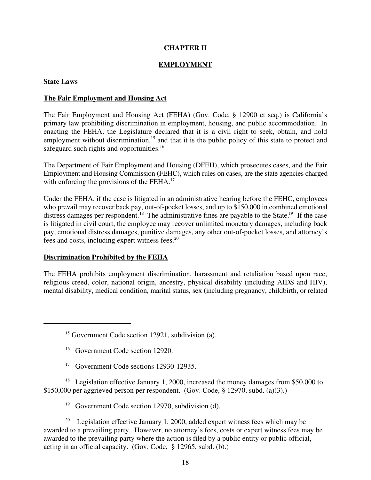#### **CHAPTER II**

#### **EMPLOYMENT**

#### **State Laws**

#### **The Fair Employment and Housing Act**

The Fair Employment and Housing Act (FEHA) (Gov. Code, § 12900 et seq.) is California's primary law prohibiting discrimination in employment, housing, and public accommodation. In enacting the FEHA, the Legislature declared that it is a civil right to seek, obtain, and hold employment without discrimination, $<sup>15</sup>$  and that it is the public policy of this state to protect and</sup> safeguard such rights and opportunities.<sup>16</sup>

The Department of Fair Employment and Housing (DFEH), which prosecutes cases, and the Fair Employment and Housing Commission (FEHC), which rules on cases, are the state agencies charged with enforcing the provisions of the FEHA.<sup>17</sup>

Under the FEHA, if the case is litigated in an administrative hearing before the FEHC, employees who prevail may recover back pay, out-of-pocket losses, and up to \$150,000 in combined emotional distress damages per respondent.<sup>18</sup> The administrative fines are payable to the State.<sup>19</sup> If the case is litigated in civil court, the employee may recover unlimited monetary damages, including back pay, emotional distress damages, punitive damages, any other out-of-pocket losses, and attorney's fees and costs, including expert witness fees.20

#### **Discrimination Prohibited by the FEHA**

The FEHA prohibits employment discrimination, harassment and retaliation based upon race, religious creed, color, national origin, ancestry, physical disability (including AIDS and HIV), mental disability, medical condition, marital status, sex (including pregnancy, childbirth, or related

- <sup>16</sup> Government Code section 12920.
- <sup>17</sup> Government Code sections 12930-12935.

<sup>18</sup> Legislation effective January 1, 2000, increased the money damages from \$50,000 to \$150,000 per aggrieved person per respondent. (Gov. Code, § 12970, subd. (a)(3).)

<sup>19</sup> Government Code section 12970, subdivision (d).

<sup>20</sup> Legislation effective January 1, 2000, added expert witness fees which may be awarded to a prevailing party. However, no attorney's fees, costs or expert witness fees may be awarded to the prevailing party where the action is filed by a public entity or public official, acting in an official capacity. (Gov. Code, § 12965, subd. (b).)

 $15$  Government Code section 12921, subdivision (a).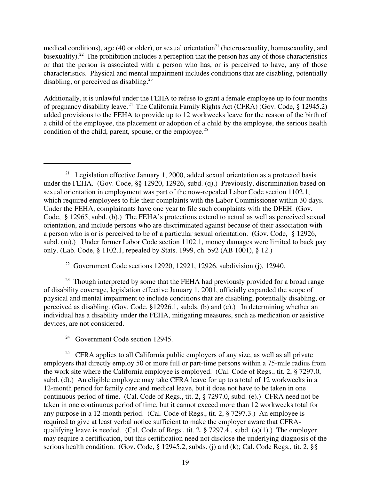medical conditions), age (40 or older), or sexual orientation<sup>21</sup> (heterosexuality, homosexuality, and bisexuality).<sup>22</sup> The prohibition includes a perception that the person has any of those characteristics or that the person is associated with a person who has, or is perceived to have, any of those characteristics. Physical and mental impairment includes conditions that are disabling, potentially disabling, or perceived as disabling.<sup>23</sup>

Additionally, it is unlawful under the FEHA to refuse to grant a female employee up to four months of pregnancy disability leave.<sup>24</sup> The California Family Rights Act (CFRA) (Gov. Code, § 12945.2) added provisions to the FEHA to provide up to 12 workweeks leave for the reason of the birth of a child of the employee, the placement or adoption of a child by the employee, the serious health condition of the child, parent, spouse, or the employee. $2<sup>5</sup>$ 

<sup>22</sup> Government Code sections 12920, 12921, 12926, subdivision (j), 12940.

<sup>23</sup> Though interpreted by some that the FEHA had previously provided for a broad range of disability coverage, legislation effective January 1, 2001, officially expanded the scope of physical and mental impairment to include conditions that are disabling, potentially disabling, or perceived as disabling. (Gov. Code, §12926.1, subds. (b) and (c).) In determining whether an individual has a disability under the FEHA, mitigating measures, such as medication or assistive devices, are not considered.

 $24$  Government Code section 12945.

<sup>25</sup> CFRA applies to all California public employers of any size, as well as all private employers that directly employ 50 or more full or part-time persons within a 75-mile radius from the work site where the California employee is employed. (Cal. Code of Regs., tit. 2, § 7297.0, subd. (d).) An eligible employee may take CFRA leave for up to a total of 12 workweeks in a 12-month period for family care and medical leave, but it does not have to be taken in one continuous period of time. (Cal. Code of Regs., tit. 2, § 7297.0, subd. (e).) CFRA need not be taken in one continuous period of time, but it cannot exceed more than 12 workweeks total for any purpose in a 12-month period. (Cal. Code of Regs., tit. 2, § 7297.3.) An employee is required to give at least verbal notice sufficient to make the employer aware that CFRAqualifying leave is needed. (Cal. Code of Regs., tit. 2, § 7297.4., subd. (a)(1).) The employer may require a certification, but this certification need not disclose the underlying diagnosis of the serious health condition. (Gov. Code, § 12945.2, subds. (j) and (k); Cal. Code Regs., tit. 2, §§

<sup>&</sup>lt;sup>21</sup> Legislation effective January 1, 2000, added sexual orientation as a protected basis under the FEHA. (Gov. Code, §§ 12920, 12926, subd. (q).) Previously, discrimination based on sexual orientation in employment was part of the now-repealed Labor Code section 1102.1, which required employees to file their complaints with the Labor Commissioner within 30 days. Under the FEHA, complainants have one year to file such complaints with the DFEH. (Gov. Code, § 12965, subd. (b).) The FEHA's protections extend to actual as well as perceived sexual orientation, and include persons who are discriminated against because of their association with a person who is or is perceived to be of a particular sexual orientation. (Gov. Code, § 12926, subd. (m).) Under former Labor Code section 1102.1, money damages were limited to back pay only. (Lab. Code, § 1102.1, repealed by Stats. 1999, ch. 592 (AB 1001), § 12.)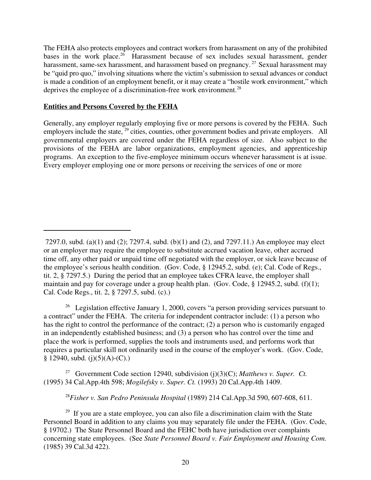The FEHA also protects employees and contract workers from harassment on any of the prohibited bases in the work place.<sup>26</sup> Harassment because of sex includes sexual harassment, gender harassment, same-sex harassment, and harassment based on pregnancy.<sup>27</sup> Sexual harassment may be "quid pro quo," involving situations where the victim's submission to sexual advances or conduct is made a condition of an employment benefit, or it may create a "hostile work environment," which deprives the employee of a discrimination-free work environment.<sup>28</sup>

#### **Entities and Persons Covered by the FEHA**

Generally, any employer regularly employing five or more persons is covered by the FEHA. Such employers include the state,  $^{29}$  cities, counties, other government bodies and private employers. All governmental employers are covered under the FEHA regardless of size. Also subject to the provisions of the FEHA are labor organizations, employment agencies, and apprenticeship programs. An exception to the five-employee minimum occurs whenever harassment is at issue. Every employer employing one or more persons or receiving the services of one or more

 $26$  Legislation effective January 1, 2000, covers "a person providing services pursuant to a contract" under the FEHA. The criteria for independent contractor include: (1) a person who has the right to control the performance of the contract; (2) a person who is customarily engaged in an independently established business; and (3) a person who has control over the time and place the work is performed, supplies the tools and instruments used, and performs work that requires a particular skill not ordinarily used in the course of the employer's work. (Gov. Code, § 12940, subd. (j) $(5)(A)-(C)$ .)

<sup>27</sup> Government Code section 12940, subdivision (j)(3)(C); *Matthews v. Super. Ct.* (1995) 34 Cal.App.4th 598; *Mogilefsky v. Super. Ct.* (1993) 20 Cal.App.4th 1409.

<sup>28</sup> Fisher v. San Pedro Peninsula Hospital (1989) 214 Cal.App.3d 590, 607-608, 611.

 $29$  If you are a state employee, you can also file a discrimination claim with the State Personnel Board in addition to any claims you may separately file under the FEHA. (Gov. Code, § 19702.) The State Personnel Board and the FEHC both have jurisdiction over complaints concerning state employees. (See *State Personnel Board v. Fair Employment and Housing Com.* (1985) 39 Cal.3d 422).

 <sup>7297.0,</sup> subd. (a)(1) and (2); 7297.4, subd. (b)(1) and (2), and 7297.11.) An employee may elect or an employer may require the employee to substitute accrued vacation leave, other accrued time off, any other paid or unpaid time off negotiated with the employer, or sick leave because of the employee's serious health condition. (Gov. Code, § 12945.2, subd. (e); Cal. Code of Regs., tit. 2, § 7297.5.) During the period that an employee takes CFRA leave, the employer shall maintain and pay for coverage under a group health plan. (Gov. Code, § 12945.2, subd. (f)(1); Cal. Code Regs., tit. 2, § 7297.5, subd. (c).)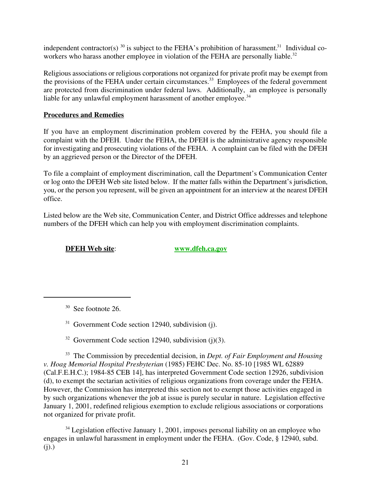independent contractor(s)<sup>30</sup> is subject to the FEHA's prohibition of harassment.<sup>31</sup> Individual coworkers who harass another employee in violation of the FEHA are personally liable.<sup>32</sup>

Religious associations or religious corporations not organized for private profit may be exempt from the provisions of the FEHA under certain circumstances.<sup>33</sup> Employees of the federal government are protected from discrimination under federal laws. Additionally, an employee is personally liable for any unlawful employment harassment of another employee.<sup>34</sup>

#### **Procedures and Remedies**

If you have an employment discrimination problem covered by the FEHA, you should file a complaint with the DFEH. Under the FEHA, the DFEH is the administrative agency responsible for investigating and prosecuting violations of the FEHA. A complaint can be filed with the DFEH by an aggrieved person or the Director of the DFEH.

To file a complaint of employment discrimination, call the Department's Communication Center or log onto the DFEH Web site listed below. If the matter falls within the Department's jurisdiction, you, or the person you represent, will be given an appointment for an interview at the nearest DFEH office.

Listed below are the Web site, Communication Center, and District Office addresses and telephone numbers of the DFEH which can help you with employment discrimination complaints.

**DFEH Web site**: **www.dfeh.ca.gov**

 $30$  See footnote 26.

 $31$  Government Code section 12940, subdivision (i).

 $32$  Government Code section 12940, subdivision (j)(3).

<sup>33</sup> The Commission by precedential decision, in *Dept. of Fair Employment and Housing v. Hoag Memorial Hospital Presbyterian* (1985) FEHC Dec. No. 85-10 [1985 WL 62889 (Cal.F.E.H.C.); 1984-85 CEB 14], has interpreted Government Code section 12926, subdivision (d), to exempt the sectarian activities of religious organizations from coverage under the FEHA. However, the Commission has interpreted this section not to exempt those activities engaged in by such organizations whenever the job at issue is purely secular in nature. Legislation effective January 1, 2001, redefined religious exemption to exclude religious associations or corporations not organized for private profit.

 $34$  Legislation effective January 1, 2001, imposes personal liability on an employee who engages in unlawful harassment in employment under the FEHA. (Gov. Code, § 12940, subd. (j).)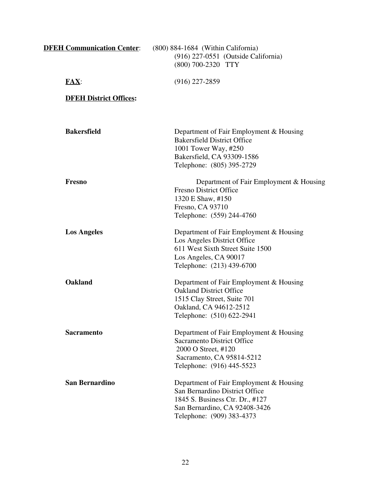| <b>DFEH Communication Center:</b> | $(800) 884-1684$ (Within California)<br>$(916)$ 227-0551 (Outside California)<br>(800) 700-2320 TTY                                                                        |
|-----------------------------------|----------------------------------------------------------------------------------------------------------------------------------------------------------------------------|
| <b>FAX:</b>                       | $(916)$ 227-2859                                                                                                                                                           |
| <b>DFEH District Offices:</b>     |                                                                                                                                                                            |
| <b>Bakersfield</b>                | Department of Fair Employment & Housing<br><b>Bakersfield District Office</b><br>1001 Tower Way, #250<br>Bakersfield, CA 93309-1586<br>Telephone: (805) 395-2729           |
| <b>Fresno</b>                     | Department of Fair Employment & Housing<br><b>Fresno District Office</b><br>1320 E Shaw, #150<br>Fresno, CA 93710<br>Telephone: (559) 244-4760                             |
| <b>Los Angeles</b>                | Department of Fair Employment & Housing<br>Los Angeles District Office<br>611 West Sixth Street Suite 1500<br>Los Angeles, CA 90017<br>Telephone: (213) 439-6700           |
| <b>Oakland</b>                    | Department of Fair Employment & Housing<br><b>Oakland District Office</b><br>1515 Clay Street, Suite 701<br>Oakland, CA 94612-2512<br>Telephone: (510) 622-2941            |
| <b>Sacramento</b>                 | Department of Fair Employment & Housing<br><b>Sacramento District Office</b><br>2000 O Street, #120<br>Sacramento, CA 95814-5212<br>Telephone: (916) 445-5523              |
| <b>San Bernardino</b>             | Department of Fair Employment & Housing<br>San Bernardino District Office<br>1845 S. Business Ctr. Dr., #127<br>San Bernardino, CA 92408-3426<br>Telephone: (909) 383-4373 |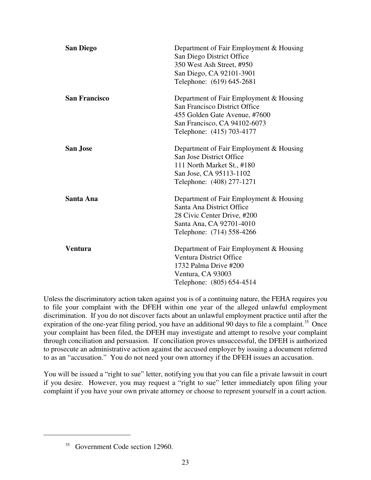| <b>San Diego</b>     | Department of Fair Employment & Housing<br>San Diego District Office<br>350 West Ash Street, #950<br>San Diego, CA 92101-3901<br>Telephone: (619) 645-2681             |
|----------------------|------------------------------------------------------------------------------------------------------------------------------------------------------------------------|
| <b>San Francisco</b> | Department of Fair Employment & Housing<br>San Francisco District Office<br>455 Golden Gate Avenue, #7600<br>San Francisco, CA 94102-6073<br>Telephone: (415) 703-4177 |
| <b>San Jose</b>      | Department of Fair Employment & Housing<br>San Jose District Office<br>111 North Market St., #180<br>San Jose, CA 95113-1102<br>Telephone: (408) 277-1271              |
| Santa Ana            | Department of Fair Employment & Housing<br>Santa Ana District Office<br>28 Civic Center Drive, #200<br>Santa Ana, CA 92701-4010<br>Telephone: (714) 558-4266           |
| <b>Ventura</b>       | Department of Fair Employment & Housing<br><b>Ventura District Office</b><br>1732 Palma Drive #200<br>Ventura, CA 93003<br>Telephone: (805) 654-4514                   |

Unless the discriminatory action taken against you is of a continuing nature, the FEHA requires you to file your complaint with the DFEH within one year of the alleged unlawful employment discrimination. If you do not discover facts about an unlawful employment practice until after the expiration of the one-year filing period, you have an additional 90 days to file a complaint.<sup>35</sup> Once your complaint has been filed, the DFEH may investigate and attempt to resolve your complaint through conciliation and persuasion. If conciliation proves unsuccessful, the DFEH is authorized to prosecute an administrative action against the accused employer by issuing a document referred to as an "accusation." You do not need your own attorney if the DFEH issues an accusation.

You will be issued a "right to sue" letter, notifying you that you can file a private lawsuit in court if you desire. However, you may request a "right to sue" letter immediately upon filing your complaint if you have your own private attorney or choose to represent yourself in a court action.

<sup>&</sup>lt;sup>35</sup> Government Code section 12960.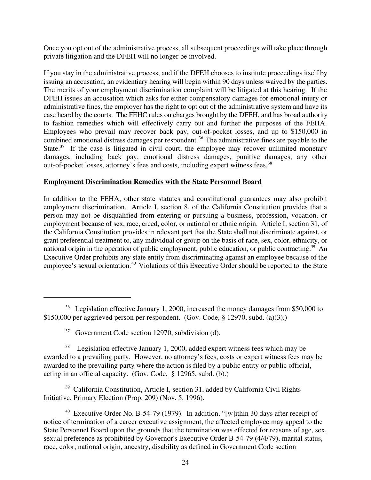Once you opt out of the administrative process, all subsequent proceedings will take place through private litigation and the DFEH will no longer be involved.

If you stay in the administrative process, and if the DFEH chooses to institute proceedings itself by issuing an accusation, an evidentiary hearing will begin within 90 days unless waived by the parties. The merits of your employment discrimination complaint will be litigated at this hearing. If the DFEH issues an accusation which asks for either compensatory damages for emotional injury or administrative fines, the employer has the right to opt out of the administrative system and have its case heard by the courts. The FEHC rules on charges brought by the DFEH, and has broad authority to fashion remedies which will effectively carry out and further the purposes of the FEHA. Employees who prevail may recover back pay, out-of-pocket losses, and up to \$150,000 in combined emotional distress damages per respondent.<sup>36</sup> The administrative fines are payable to the State.<sup>37</sup> If the case is litigated in civil court, the employee may recover unlimited monetary damages, including back pay, emotional distress damages, punitive damages, any other out-of-pocket losses, attorney's fees and costs, including expert witness fees.<sup>38</sup>

#### **Employment Discrimination Remedies with the State Personnel Board**

In addition to the FEHA, other state statutes and constitutional guarantees may also prohibit employment discrimination. Article I, section 8, of the California Constitution provides that a person may not be disqualified from entering or pursuing a business, profession, vocation, or employment because of sex, race, creed, color, or national or ethnic origin. Article I, section 31, of the California Constitution provides in relevant part that the State shall not discriminate against, or grant preferential treatment to, any individual or group on the basis of race, sex, color, ethnicity, or national origin in the operation of public employment, public education, or public contracting.<sup>39</sup> An Executive Order prohibits any state entity from discriminating against an employee because of the employee's sexual orientation.<sup>40</sup> Violations of this Executive Order should be reported to the State

 $38$  Legislation effective January 1, 2000, added expert witness fees which may be awarded to a prevailing party. However, no attorney's fees, costs or expert witness fees may be awarded to the prevailing party where the action is filed by a public entity or public official, acting in an official capacity. (Gov. Code, § 12965, subd. (b).)

 $39$  California Constitution, Article I, section 31, added by California Civil Rights Initiative, Primary Election (Prop. 209) (Nov. 5, 1996).

<sup>&</sup>lt;sup>36</sup> Legislation effective January 1, 2000, increased the money damages from \$50,000 to \$150,000 per aggrieved person per respondent. (Gov. Code, § 12970, subd. (a)(3).)

 $37$  Government Code section 12970, subdivision (d).

<sup>&</sup>lt;sup>40</sup> Executive Order No. B-54-79 (1979). In addition, "[w]ithin 30 days after receipt of notice of termination of a career executive assignment, the affected employee may appeal to the State Personnel Board upon the grounds that the termination was effected for reasons of age, sex, sexual preference as prohibited by Governor's Executive Order B-54-79 (4/4/79), marital status, race, color, national origin, ancestry, disability as defined in Government Code section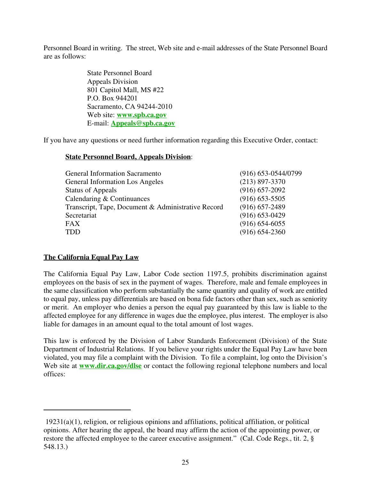Personnel Board in writing. The street, Web site and e-mail addresses of the State Personnel Board are as follows:

> State Personnel Board Appeals Division 801 Capitol Mall, MS #22 P.O. Box 944201 Sacramento, CA 94244-2010 Web site: **www.spb.ca.gov** E-mail: **Appeals@spb.ca.gov**

If you have any questions or need further information regarding this Executive Order, contact:

#### **State Personnel Board, Appeals Division**:

| <b>General Information Sacramento</b>              | (916) 653-0544/0799 |
|----------------------------------------------------|---------------------|
| <b>General Information Los Angeles</b>             | $(213)$ 897-3370    |
| <b>Status of Appeals</b>                           | $(916) 657 - 2092$  |
| Calendaring & Continuances                         | $(916)$ 653-5505    |
| Transcript, Tape, Document & Administrative Record | $(916)$ 657-2489    |
| Secretariat                                        | $(916) 653 - 0429$  |
| <b>FAX</b>                                         | $(916) 654-6055$    |
| <b>TDD</b>                                         | $(916) 654 - 2360$  |
|                                                    |                     |

#### **The California Equal Pay Law**

The California Equal Pay Law, Labor Code section 1197.5, prohibits discrimination against employees on the basis of sex in the payment of wages. Therefore, male and female employees in the same classification who perform substantially the same quantity and quality of work are entitled to equal pay, unless pay differentials are based on bona fide factors other than sex, such as seniority or merit. An employer who denies a person the equal pay guaranteed by this law is liable to the affected employee for any difference in wages due the employee, plus interest. The employer is also liable for damages in an amount equal to the total amount of lost wages.

This law is enforced by the Division of Labor Standards Enforcement (Division) of the State Department of Industrial Relations. If you believe your rights under the Equal Pay Law have been violated, you may file a complaint with the Division. To file a complaint, log onto the Division's Web site at **www.dir.ca.gov/dlse** or contact the following regional telephone numbers and local offices:

 <sup>19231(</sup>a)(1), religion, or religious opinions and affiliations, political affiliation, or political opinions. After hearing the appeal, the board may affirm the action of the appointing power, or restore the affected employee to the career executive assignment." (Cal. Code Regs., tit. 2, § 548.13.)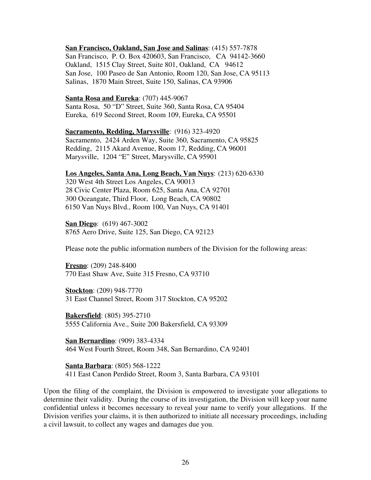**San Francisco, Oakland, San Jose and Salinas**: (415) 557-7878 San Francisco, P. O. Box 420603, San Francisco, CA 94142-3660 Oakland, 1515 Clay Street, Suite 801, Oakland, CA 94612 San Jose, 100 Paseo de San Antonio, Room 120, San Jose, CA 95113 Salinas, 1870 Main Street, Suite 150, Salinas, CA 93906

**Santa Rosa and Eureka**: (707) 445-9067 Santa Rosa, 50 "D" Street, Suite 360, Santa Rosa, CA 95404 Eureka, 619 Second Street, Room 109, Eureka, CA 95501

**Sacramento, Redding, Marysville**: (916) 323-4920 Sacramento, 2424 Arden Way, Suite 360, Sacramento, CA 95825 Redding, 2115 Akard Avenue, Room 17, Redding, CA 96001 Marysville, 1204 "E" Street, Marysville, CA 95901

**Los Angeles, Santa Ana, Long Beach, Van Nuys**: (213) 620-6330

320 West 4th Street Los Angeles, CA 90013 28 Civic Center Plaza, Room 625, Santa Ana, CA 92701 300 Oceangate, Third Floor, Long Beach, CA 90802 6150 Van Nuys Blvd., Room 100, Van Nuys, CA 91401

**San Diego**: (619) 467-3002 8765 Aero Drive, Suite 125, San Diego, CA 92123

Please note the public information numbers of the Division for the following areas:

**Fresno**: (209) 248-8400 770 East Shaw Ave, Suite 315 Fresno, CA 93710

**Stockton**: (209) 948-7770 31 East Channel Street, Room 317 Stockton, CA 95202

**Bakersfield**: (805) 395-2710 5555 California Ave., Suite 200 Bakersfield, CA 93309

**San Bernardino**: (909) 383-4334 464 West Fourth Street, Room 348, San Bernardino, CA 92401

**Santa Barbara**: (805) 568-1222 411 East Canon Perdido Street, Room 3, Santa Barbara, CA 93101

Upon the filing of the complaint, the Division is empowered to investigate your allegations to determine their validity. During the course of its investigation, the Division will keep your name confidential unless it becomes necessary to reveal your name to verify your allegations. If the Division verifies your claims, it is then authorized to initiate all necessary proceedings, including a civil lawsuit, to collect any wages and damages due you.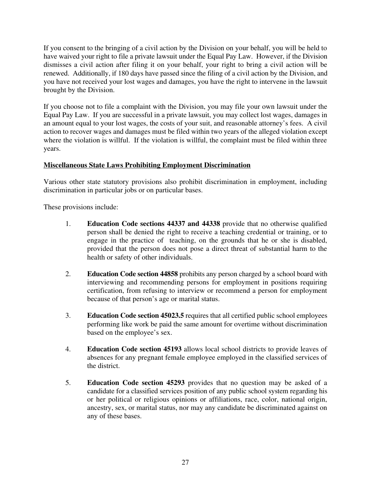If you consent to the bringing of a civil action by the Division on your behalf, you will be held to have waived your right to file a private lawsuit under the Equal Pay Law. However, if the Division dismisses a civil action after filing it on your behalf, your right to bring a civil action will be renewed. Additionally, if 180 days have passed since the filing of a civil action by the Division, and you have not received your lost wages and damages, you have the right to intervene in the lawsuit brought by the Division.

If you choose not to file a complaint with the Division, you may file your own lawsuit under the Equal Pay Law. If you are successful in a private lawsuit, you may collect lost wages, damages in an amount equal to your lost wages, the costs of your suit, and reasonable attorney's fees. A civil action to recover wages and damages must be filed within two years of the alleged violation except where the violation is willful. If the violation is willful, the complaint must be filed within three years.

#### **Miscellaneous State Laws Prohibiting Employment Discrimination**

Various other state statutory provisions also prohibit discrimination in employment, including discrimination in particular jobs or on particular bases.

These provisions include:

- 1. **Education Code sections 44337 and 44338** provide that no otherwise qualified person shall be denied the right to receive a teaching credential or training, or to engage in the practice of teaching, on the grounds that he or she is disabled, provided that the person does not pose a direct threat of substantial harm to the health or safety of other individuals.
- 2. **Education Code section 44858** prohibits any person charged by a school board with interviewing and recommending persons for employment in positions requiring certification, from refusing to interview or recommend a person for employment because of that person's age or marital status.
- 3. **Education Code section 45023.5** requires that all certified public school employees performing like work be paid the same amount for overtime without discrimination based on the employee's sex.
- 4. **Education Code section 45193** allows local school districts to provide leaves of absences for any pregnant female employee employed in the classified services of the district.
- 5. **Education Code section 45293** provides that no question may be asked of a candidate for a classified services position of any public school system regarding his or her political or religious opinions or affiliations, race, color, national origin, ancestry, sex, or marital status, nor may any candidate be discriminated against on any of these bases.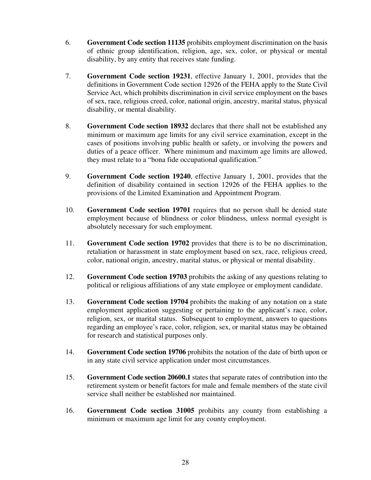- 6. **Government Code section 11135** prohibits employment discrimination on the basis of ethnic group identification, religion, age, sex, color, or physical or mental disability, by any entity that receives state funding.
- 7. **Government Code section 19231**, effective January 1, 2001, provides that the definitions in Government Code section 12926 of the FEHA apply to the State Civil Service Act, which prohibits discrimination in civil service employment on the bases of sex, race, religious creed, color, national origin, ancestry, marital status, physical disability, or mental disability.
- 8. **Government Code section 18932** declares that there shall not be established any minimum or maximum age limits for any civil service examination, except in the cases of positions involving public health or safety, or involving the powers and duties of a peace officer. Where minimum and maximum age limits are allowed, they must relate to a "bona fide occupational qualification."
- 9. **Government Code section 19240**, effective January 1, 2001, provides that the definition of disability contained in section 12926 of the FEHA applies to the provisions of the Limited Examination and Appointment Program.
- 10. **Government Code section 19701** requires that no person shall be denied state employment because of blindness or color blindness, unless normal eyesight is absolutely necessary for such employment.
- 11. **Government Code section 19702** provides that there is to be no discrimination, retaliation or harassment in state employment based on sex, race, religious creed, color, national origin, ancestry, marital status, or physical or mental disability.
- 12. **Government Code section 19703** prohibits the asking of any questions relating to political or religious affiliations of any state employee or employment candidate.
- 13. **Government Code section 19704** prohibits the making of any notation on a state employment application suggesting or pertaining to the applicant's race, color, religion, sex, or marital status. Subsequent to employment, answers to questions regarding an employee's race, color, religion, sex, or marital status may be obtained for research and statistical purposes only.
- 14. **Government Code section 19706** prohibits the notation of the date of birth upon or in any state civil service application under most circumstances.
- 15. **Government Code section 20600.1** states that separate rates of contribution into the retirement system or benefit factors for male and female members of the state civil service shall neither be established nor maintained.
- 16. **Government Code section 31005** prohibits any county from establishing a minimum or maximum age limit for any county employment.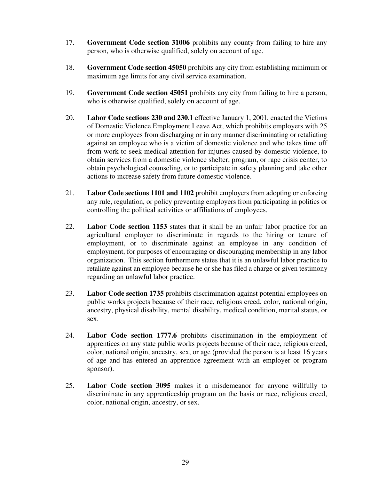- 17. **Government Code section 31006** prohibits any county from failing to hire any person, who is otherwise qualified, solely on account of age.
- 18. **Government Code section 45050** prohibits any city from establishing minimum or maximum age limits for any civil service examination.
- 19. **Government Code section 45051** prohibits any city from failing to hire a person, who is otherwise qualified, solely on account of age.
- 20. **Labor Code sections 230 and 230.1** effective January 1, 2001, enacted the Victims of Domestic Violence Employment Leave Act, which prohibits employers with 25 or more employees from discharging or in any manner discriminating or retaliating against an employee who is a victim of domestic violence and who takes time off from work to seek medical attention for injuries caused by domestic violence, to obtain services from a domestic violence shelter, program, or rape crisis center, to obtain psychological counseling, or to participate in safety planning and take other actions to increase safety from future domestic violence.
- 21. **Labor Code sections 1101 and 1102** prohibit employers from adopting or enforcing any rule, regulation, or policy preventing employers from participating in politics or controlling the political activities or affiliations of employees.
- 22. **Labor Code section 1153** states that it shall be an unfair labor practice for an agricultural employer to discriminate in regards to the hiring or tenure of employment, or to discriminate against an employee in any condition of employment, for purposes of encouraging or discouraging membership in any labor organization. This section furthermore states that it is an unlawful labor practice to retaliate against an employee because he or she has filed a charge or given testimony regarding an unlawful labor practice.
- 23. **Labor Code section 1735** prohibits discrimination against potential employees on public works projects because of their race, religious creed, color, national origin, ancestry, physical disability, mental disability, medical condition, marital status, or sex.
- 24. **Labor Code section 1777.6** prohibits discrimination in the employment of apprentices on any state public works projects because of their race, religious creed, color, national origin, ancestry, sex, or age (provided the person is at least 16 years of age and has entered an apprentice agreement with an employer or program sponsor).
- 25. **Labor Code section 3095** makes it a misdemeanor for anyone willfully to discriminate in any apprenticeship program on the basis or race, religious creed, color, national origin, ancestry, or sex.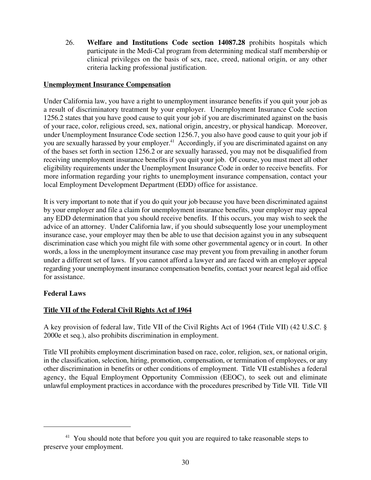26. **Welfare and Institutions Code section 14087.28** prohibits hospitals which participate in the Medi-Cal program from determining medical staff membership or clinical privileges on the basis of sex, race, creed, national origin, or any other criteria lacking professional justification.

#### **Unemployment Insurance Compensation**

Under California law, you have a right to unemployment insurance benefits if you quit your job as a result of discriminatory treatment by your employer. Unemployment Insurance Code section 1256.2 states that you have good cause to quit your job if you are discriminated against on the basis of your race, color, religious creed, sex, national origin, ancestry, or physical handicap. Moreover, under Unemployment Insurance Code section 1256.7, you also have good cause to quit your job if you are sexually harassed by your employer.<sup>41</sup> Accordingly, if you are discriminated against on any of the bases set forth in section 1256.2 or are sexually harassed, you may not be disqualified from receiving unemployment insurance benefits if you quit your job. Of course, you must meet all other eligibility requirements under the Unemployment Insurance Code in order to receive benefits. For more information regarding your rights to unemployment insurance compensation, contact your local Employment Development Department (EDD) office for assistance.

It is very important to note that if you do quit your job because you have been discriminated against by your employer and file a claim for unemployment insurance benefits, your employer may appeal any EDD determination that you should receive benefits. If this occurs, you may wish to seek the advice of an attorney. Under California law, if you should subsequently lose your unemployment insurance case, your employer may then be able to use that decision against you in any subsequent discrimination case which you might file with some other governmental agency or in court. In other words, a loss in the unemployment insurance case may prevent you from prevailing in another forum under a different set of laws. If you cannot afford a lawyer and are faced with an employer appeal regarding your unemployment insurance compensation benefits, contact your nearest legal aid office for assistance.

## **Federal Laws**

## **Title VII of the Federal Civil Rights Act of 1964**

A key provision of federal law, Title VII of the Civil Rights Act of 1964 (Title VII) (42 U.S.C. § 2000e et seq.), also prohibits discrimination in employment.

Title VII prohibits employment discrimination based on race, color, religion, sex, or national origin, in the classification, selection, hiring, promotion, compensation, or termination of employees, or any other discrimination in benefits or other conditions of employment. Title VII establishes a federal agency, the Equal Employment Opportunity Commission (EEOC), to seek out and eliminate unlawful employment practices in accordance with the procedures prescribed by Title VII. Title VII

 $41$  You should note that before you quit you are required to take reasonable steps to preserve your employment.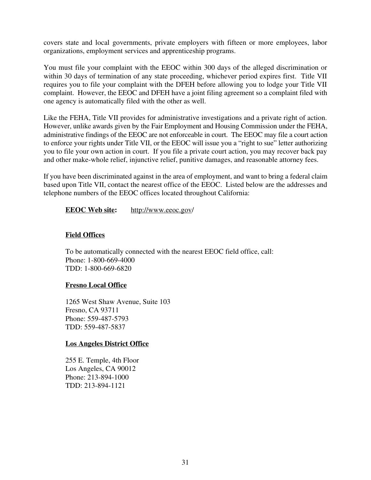covers state and local governments, private employers with fifteen or more employees, labor organizations, employment services and apprenticeship programs.

You must file your complaint with the EEOC within 300 days of the alleged discrimination or within 30 days of termination of any state proceeding, whichever period expires first. Title VII requires you to file your complaint with the DFEH before allowing you to lodge your Title VII complaint. However, the EEOC and DFEH have a joint filing agreement so a complaint filed with one agency is automatically filed with the other as well.

Like the FEHA, Title VII provides for administrative investigations and a private right of action. However, unlike awards given by the Fair Employment and Housing Commission under the FEHA, administrative findings of the EEOC are not enforceable in court. The EEOC may file a court action to enforce your rights under Title VII, or the EEOC will issue you a "right to sue" letter authorizing you to file your own action in court. If you file a private court action, you may recover back pay and other make-whole relief, injunctive relief, punitive damages, and reasonable attorney fees.

If you have been discriminated against in the area of employment, and want to bring a federal claim based upon Title VII, contact the nearest office of the EEOC. Listed below are the addresses and telephone numbers of the EEOC offices located throughout California:

**EEOC Web site:** http://www.eeoc.gov/

## **Field Offices**

 To be automatically connected with the nearest EEOC field office, call: Phone: 1-800-669-4000 TDD: 1-800-669-6820

#### **Fresno Local Office**

 1265 West Shaw Avenue, Suite 103 Fresno, CA 93711 Phone: 559-487-5793 TDD: 559-487-5837

#### **Los Angeles District Office**

 255 E. Temple, 4th Floor Los Angeles, CA 90012 Phone: 213-894-1000 TDD: 213-894-1121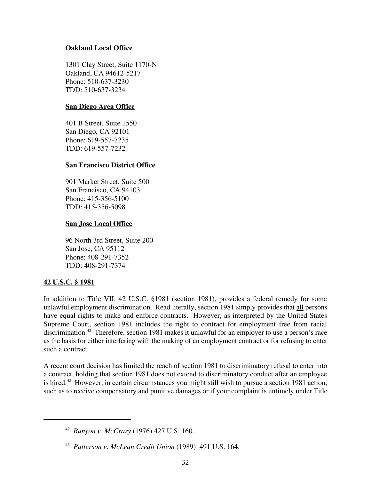#### **Oakland Local Office**

 1301 Clay Street, Suite 1170-N Oakland, CA 94612-5217 Phone: 510-637-3230 TDD: 510-637-3234

#### **San Diego Area Office**

 401 B Street, Suite 1550 San Diego, CA 92101 Phone: 619-557-7235 TDD: 619-557-7232

#### **San Francisco District Office**

 901 Market Street, Suite 500 San Francisco, CA 94103 Phone: 415-356-5100 TDD: 415-356-5098

#### **San Jose Local Office**

 96 North 3rd Street, Suite 200 San Jose, CA 95112 Phone: 408-291-7352 TDD: 408-291-7374

## **42 U.S.C. § 1981**

In addition to Title VII, 42 U.S.C. §1981 (section 1981), provides a federal remedy for some unlawful employment discrimination. Read literally, section 1981 simply provides that all persons have equal rights to make and enforce contracts. However, as interpreted by the United States Supreme Court, section 1981 includes the right to contract for employment free from racial discrimination.<sup> $42$ </sup> Therefore, section 1981 makes it unlawful for an employer to use a person's race as the basis for either interfering with the making of an employment contract or for refusing to enter such a contract.

A recent court decision has limited the reach of section 1981 to discriminatory refusal to enter into a contract, holding that section 1981 does not extend to discriminatory conduct after an employee is hired.<sup> $43$ </sup> However, in certain circumstances you might still wish to pursue a section 1981 action, such as to receive compensatory and punitive damages or if your complaint is untimely under Title

<sup>&</sup>lt;sup>42</sup> Runyon v. McCrary (1976) 427 U.S. 160.

<sup>&</sup>lt;sup>43</sup> Patterson v. McLean Credit Union (1989) 491 U.S. 164.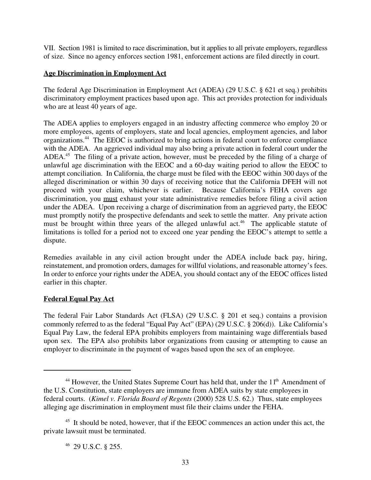VII. Section 1981 is limited to race discrimination, but it applies to all private employers, regardless of size. Since no agency enforces section 1981, enforcement actions are filed directly in court.

## **Age Discrimination in Employment Act**

The federal Age Discrimination in Employment Act (ADEA) (29 U.S.C. § 621 et seq.) prohibits discriminatory employment practices based upon age. This act provides protection for individuals who are at least 40 years of age.

The ADEA applies to employers engaged in an industry affecting commerce who employ 20 or more employees, agents of employers, state and local agencies, employment agencies, and labor organizations.<sup>44</sup> The EEOC is authorized to bring actions in federal court to enforce compliance with the ADEA. An aggrieved individual may also bring a private action in federal court under the ADEA.<sup>45</sup> The filing of a private action, however, must be preceded by the filing of a charge of unlawful age discrimination with the EEOC and a 60-day waiting period to allow the EEOC to attempt conciliation. In California, the charge must be filed with the EEOC within 300 days of the alleged discrimination or within 30 days of receiving notice that the California DFEH will not proceed with your claim, whichever is earlier. Because California's FEHA covers age discrimination, you must exhaust your state administrative remedies before filing a civil action under the ADEA. Upon receiving a charge of discrimination from an aggrieved party, the EEOC must promptly notify the prospective defendants and seek to settle the matter. Any private action must be brought within three years of the alleged unlawful act.<sup> $46$ </sup> The applicable statute of limitations is tolled for a period not to exceed one year pending the EEOC's attempt to settle a dispute.

Remedies available in any civil action brought under the ADEA include back pay, hiring, reinstatement, and promotion orders, damages for willful violations, and reasonable attorney's fees. In order to enforce your rights under the ADEA, you should contact any of the EEOC offices listed earlier in this chapter.

## **Federal Equal Pay Act**

The federal Fair Labor Standards Act (FLSA) (29 U.S.C. § 201 et seq.) contains a provision commonly referred to as the federal "Equal Pay Act" (EPA) (29 U.S.C. § 206(d)). Like California's Equal Pay Law, the federal EPA prohibits employers from maintaining wage differentials based upon sex. The EPA also prohibits labor organizations from causing or attempting to cause an employer to discriminate in the payment of wages based upon the sex of an employee.

<sup>&</sup>lt;sup>44</sup> However, the United States Supreme Court has held that, under the  $11<sup>th</sup>$  Amendment of the U.S. Constitution, state employers are immune from ADEA suits by state employees in federal courts. (*Kimel v. Florida Board of Regents* (2000) 528 U.S. 62.) Thus, state employees alleging age discrimination in employment must file their claims under the FEHA.

<sup>&</sup>lt;sup>45</sup> It should be noted, however, that if the EEOC commences an action under this act, the private lawsuit must be terminated.

 <sup>29</sup> U.S.C. § 255. <sup>46</sup>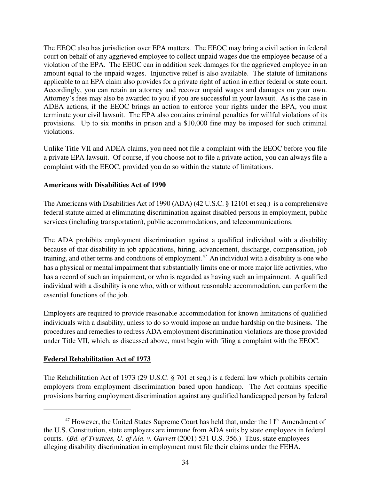The EEOC also has jurisdiction over EPA matters. The EEOC may bring a civil action in federal court on behalf of any aggrieved employee to collect unpaid wages due the employee because of a violation of the EPA. The EEOC can in addition seek damages for the aggrieved employee in an amount equal to the unpaid wages. Injunctive relief is also available. The statute of limitations applicable to an EPA claim also provides for a private right of action in either federal or state court. Accordingly, you can retain an attorney and recover unpaid wages and damages on your own. Attorney's fees may also be awarded to you if you are successful in your lawsuit. As is the case in ADEA actions, if the EEOC brings an action to enforce your rights under the EPA, you must terminate your civil lawsuit. The EPA also contains criminal penalties for willful violations of its provisions. Up to six months in prison and a \$10,000 fine may be imposed for such criminal violations.

Unlike Title VII and ADEA claims, you need not file a complaint with the EEOC before you file a private EPA lawsuit. Of course, if you choose not to file a private action, you can always file a complaint with the EEOC, provided you do so within the statute of limitations.

## **Americans with Disabilities Act of 1990**

The Americans with Disabilities Act of 1990 (ADA) (42 U.S.C. § 12101 et seq.) is a comprehensive federal statute aimed at eliminating discrimination against disabled persons in employment, public services (including transportation), public accommodations, and telecommunications.

The ADA prohibits employment discrimination against a qualified individual with a disability because of that disability in job applications, hiring, advancement, discharge, compensation, job training, and other terms and conditions of employment.<sup> $47$ </sup> An individual with a disability is one who has a physical or mental impairment that substantially limits one or more major life activities, who has a record of such an impairment, or who is regarded as having such an impairment. A qualified individual with a disability is one who, with or without reasonable accommodation, can perform the essential functions of the job.

Employers are required to provide reasonable accommodation for known limitations of qualified individuals with a disability, unless to do so would impose an undue hardship on the business. The procedures and remedies to redress ADA employment discrimination violations are those provided under Title VII, which, as discussed above, must begin with filing a complaint with the EEOC.

# **Federal Rehabilitation Act of 1973**

The Rehabilitation Act of 1973 (29 U.S.C. § 701 et seq.) is a federal law which prohibits certain employers from employment discrimination based upon handicap. The Act contains specific provisions barring employment discrimination against any qualified handicapped person by federal

<sup>&</sup>lt;sup>47</sup> However, the United States Supreme Court has held that, under the  $11<sup>th</sup>$  Amendment of the U.S. Constitution, state employers are immune from ADA suits by state employees in federal courts. (*Bd. of Trustees, U. of Ala. v. Garrett* (2001) 531 U.S. 356.) Thus, state employees alleging disability discrimination in employment must file their claims under the FEHA.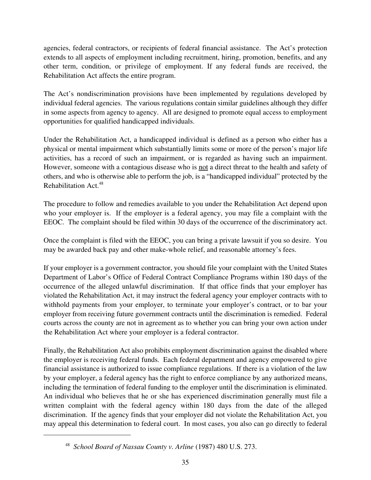agencies, federal contractors, or recipients of federal financial assistance. The Act's protection extends to all aspects of employment including recruitment, hiring, promotion, benefits, and any other term, condition, or privilege of employment. If any federal funds are received, the Rehabilitation Act affects the entire program.

The Act's nondiscrimination provisions have been implemented by regulations developed by individual federal agencies. The various regulations contain similar guidelines although they differ in some aspects from agency to agency. All are designed to promote equal access to employment opportunities for qualified handicapped individuals.

Under the Rehabilitation Act, a handicapped individual is defined as a person who either has a physical or mental impairment which substantially limits some or more of the person's major life activities, has a record of such an impairment, or is regarded as having such an impairment. However, someone with a contagious disease who is not a direct threat to the health and safety of others, and who is otherwise able to perform the job, is a "handicapped individual" protected by the Rehabilitation Act.<sup>48</sup>

The procedure to follow and remedies available to you under the Rehabilitation Act depend upon who your employer is. If the employer is a federal agency, you may file a complaint with the EEOC. The complaint should be filed within 30 days of the occurrence of the discriminatory act.

Once the complaint is filed with the EEOC, you can bring a private lawsuit if you so desire. You may be awarded back pay and other make-whole relief, and reasonable attorney's fees.

If your employer is a government contractor, you should file your complaint with the United States Department of Labor's Office of Federal Contract Compliance Programs within 180 days of the occurrence of the alleged unlawful discrimination. If that office finds that your employer has violated the Rehabilitation Act, it may instruct the federal agency your employer contracts with to withhold payments from your employer, to terminate your employer's contract, or to bar your employer from receiving future government contracts until the discrimination is remedied. Federal courts across the county are not in agreement as to whether you can bring your own action under the Rehabilitation Act where your employer is a federal contractor.

Finally, the Rehabilitation Act also prohibits employment discrimination against the disabled where the employer is receiving federal funds. Each federal department and agency empowered to give financial assistance is authorized to issue compliance regulations. If there is a violation of the law by your employer, a federal agency has the right to enforce compliance by any authorized means, including the termination of federal funding to the employer until the discrimination is eliminated. An individual who believes that he or she has experienced discrimination generally must file a written complaint with the federal agency within 180 days from the date of the alleged discrimination. If the agency finds that your employer did not violate the Rehabilitation Act, you may appeal this determination to federal court. In most cases, you also can go directly to federal

<sup>&</sup>lt;sup>48</sup> School Board of Nassau County v. Arline (1987) 480 U.S. 273.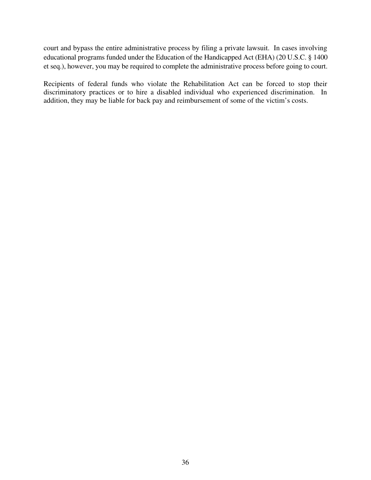court and bypass the entire administrative process by filing a private lawsuit. In cases involving educational programs funded under the Education of the Handicapped Act (EHA) (20 U.S.C. § 1400 et seq.), however, you may be required to complete the administrative process before going to court.

Recipients of federal funds who violate the Rehabilitation Act can be forced to stop their discriminatory practices or to hire a disabled individual who experienced discrimination. In addition, they may be liable for back pay and reimbursement of some of the victim's costs.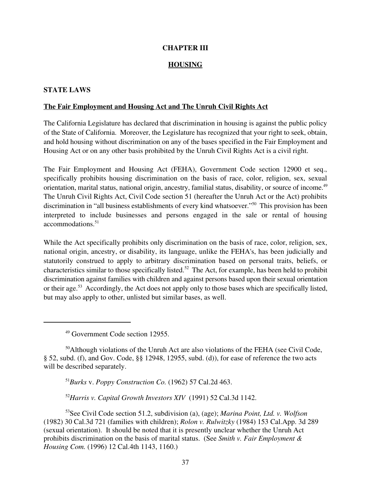#### **CHAPTER III**

#### **HOUSING**

#### **STATE LAWS**

#### **The Fair Employment and Housing Act and The Unruh Civil Rights Act**

The California Legislature has declared that discrimination in housing is against the public policy of the State of California. Moreover, the Legislature has recognized that your right to seek, obtain, and hold housing without discrimination on any of the bases specified in the Fair Employment and Housing Act or on any other basis prohibited by the Unruh Civil Rights Act is a civil right.

The Fair Employment and Housing Act (FEHA), Government Code section 12900 et seq., specifically prohibits housing discrimination on the basis of race, color, religion, sex, sexual orientation, marital status, national origin, ancestry, familial status, disability, or source of income.49 The Unruh Civil Rights Act, Civil Code section 51 (hereafter the Unruh Act or the Act) prohibits discrimination in "all business establishments of every kind whatsoever."<sup>50</sup> This provision has been interpreted to include businesses and persons engaged in the sale or rental of housing accommodations. 51

While the Act specifically prohibits only discrimination on the basis of race, color, religion, sex, national origin, ancestry, or disability, its language, unlike the FEHA's, has been judicially and statutorily construed to apply to arbitrary discrimination based on personal traits, beliefs, or characteristics similar to those specifically listed.<sup>52</sup> The Act, for example, has been held to prohibit discrimination against families with children and against persons based upon their sexual orientation or their age.<sup>53</sup> Accordingly, the Act does not apply only to those bases which are specifically listed, but may also apply to other, unlisted but similar bases, as well.

 $50$ Although violations of the Unruh Act are also violations of the FEHA (see Civil Code, § 52, subd. (f), and Gov. Code, §§ 12948, 12955, subd. (d)), for ease of reference the two acts will be described separately.

<sup>51</sup> Burks v. *Poppy Construction Co.* (1962) 57 Cal.2d 463.

<sup>52</sup> Harris v. Capital Growth Investors XIV (1991) 52 Cal.3d 1142.

<sup>53</sup>See Civil Code section 51.2, subdivision (a), (age); *Marina Point, Ltd. v. Wolfson* (1982) 30 Cal.3d 721 (families with children); *Rolon v. Rulwitzky* (1984) 153 Cal.App. 3d 289 (sexual orientation). It should be noted that it is presently unclear whether the Unruh Act prohibits discrimination on the basis of marital status. (See *Smith v. Fair Employment & Housing Com.* (1996) 12 Cal.4th 1143, 1160.)

<sup>&</sup>lt;sup>49</sup> Government Code section 12955.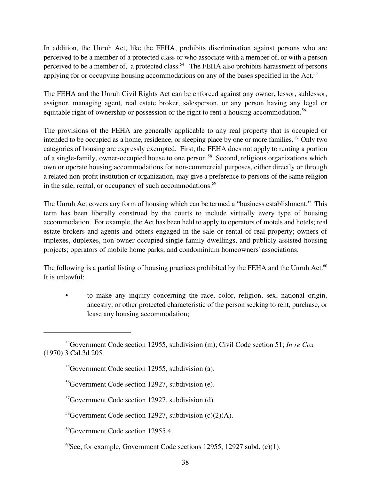In addition, the Unruh Act, like the FEHA, prohibits discrimination against persons who are perceived to be a member of a protected class or who associate with a member of, or with a person perceived to be a member of, a protected class.<sup>54</sup> The FEHA also prohibits harassment of persons applying for or occupying housing accommodations on any of the bases specified in the Act.<sup>55</sup>

The FEHA and the Unruh Civil Rights Act can be enforced against any owner, lessor, sublessor, assignor, managing agent, real estate broker, salesperson, or any person having any legal or equitable right of ownership or possession or the right to rent a housing accommodation.<sup>56</sup>

The provisions of the FEHA are generally applicable to any real property that is occupied or intended to be occupied as a home, residence, or sleeping place by one or more families.<sup>57</sup> Only two categories of housing are expressly exempted. First, the FEHA does not apply to renting a portion of a single-family, owner-occupied house to one person.<sup>58</sup> Second, religious organizations which own or operate housing accommodations for non-commercial purposes, either directly or through a related non-profit institution or organization, may give a preference to persons of the same religion in the sale, rental, or occupancy of such accommodations.<sup>59</sup>

The Unruh Act covers any form of housing which can be termed a "business establishment." This term has been liberally construed by the courts to include virtually every type of housing accommodation. For example, the Act has been held to apply to operators of motels and hotels; real estate brokers and agents and others engaged in the sale or rental of real property; owners of triplexes, duplexes, non-owner occupied single-family dwellings, and publicly-assisted housing projects; operators of mobile home parks; and condominium homeowners' associations.

The following is a partial listing of housing practices prohibited by the FEHA and the Unruh Act.<sup>60</sup> It is unlawful:

• to make any inquiry concerning the race, color, religion, sex, national origin, ancestry, or other protected characteristic of the person seeking to rent, purchase, or lease any housing accommodation;

 $^{54}$ Government Code section 12955, subdivision (m); Civil Code section 51; *In re Cox* (1970) 3 Cal.3d 205.

 ${}^{55}$ Government Code section 12955, subdivision (a).

 $56$ Government Code section 12927, subdivision (e).

 $57$ Government Code section 12927, subdivision (d).

 $58$ Government Code section 12927, subdivision (c)(2)(A).

 $59$ Government Code section 12955.4.

 ${}^{60}$ See, for example, Government Code sections 12955, 12927 subd. (c)(1).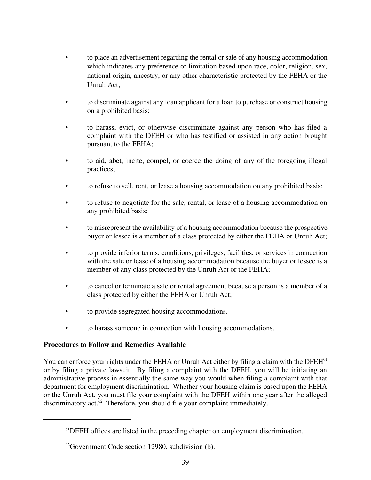- to place an advertisement regarding the rental or sale of any housing accommodation which indicates any preference or limitation based upon race, color, religion, sex, national origin, ancestry, or any other characteristic protected by the FEHA or the Unruh Act;
- to discriminate against any loan applicant for a loan to purchase or construct housing on a prohibited basis;
- to harass, evict, or otherwise discriminate against any person who has filed a complaint with the DFEH or who has testified or assisted in any action brought pursuant to the FEHA;
- to aid, abet, incite, compel, or coerce the doing of any of the foregoing illegal practices;
- to refuse to sell, rent, or lease a housing accommodation on any prohibited basis;
- to refuse to negotiate for the sale, rental, or lease of a housing accommodation on any prohibited basis;
- to misrepresent the availability of a housing accommodation because the prospective buyer or lessee is a member of a class protected by either the FEHA or Unruh Act;
- to provide inferior terms, conditions, privileges, facilities, or services in connection with the sale or lease of a housing accommodation because the buyer or lessee is a member of any class protected by the Unruh Act or the FEHA;
- to cancel or terminate a sale or rental agreement because a person is a member of a class protected by either the FEHA or Unruh Act;
- to provide segregated housing accommodations.
- to harass someone in connection with housing accommodations.

## **Procedures to Follow and Remedies Available**

You can enforce your rights under the FEHA or Unruh Act either by filing a claim with the DFEH<sup>61</sup> or by filing a private lawsuit. By filing a complaint with the DFEH, you will be initiating an administrative process in essentially the same way you would when filing a complaint with that department for employment discrimination. Whether your housing claim is based upon the FEHA or the Unruh Act, you must file your complaint with the DFEH within one year after the alleged discriminatory act.  $62$  Therefore, you should file your complaint immediately.

 ${}^{61}$ DFEH offices are listed in the preceding chapter on employment discrimination.

 ${}^{62}$ Government Code section 12980, subdivision (b).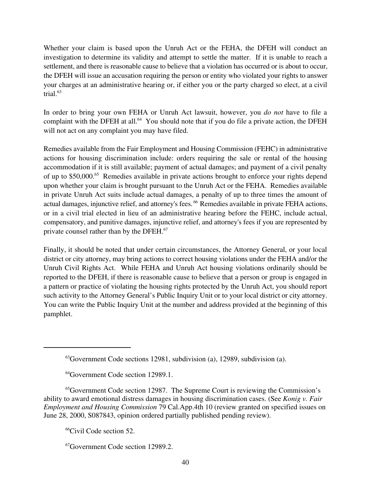Whether your claim is based upon the Unruh Act or the FEHA, the DFEH will conduct an investigation to determine its validity and attempt to settle the matter. If it is unable to reach a settlement, and there is reasonable cause to believe that a violation has occurred or is about to occur, the DFEH will issue an accusation requiring the person or entity who violated your rights to answer your charges at an administrative hearing or, if either you or the party charged so elect, at a civil trial. $63$ 

In order to bring your own FEHA or Unruh Act lawsuit, however, you *do not* have to file a complaint with the DFEH at all.<sup>64</sup> You should note that if you do file a private action, the DFEH will not act on any complaint you may have filed.

Remedies available from the Fair Employment and Housing Commission (FEHC) in administrative actions for housing discrimination include: orders requiring the sale or rental of the housing accommodation if it is still available; payment of actual damages; and payment of a civil penalty of up to \$50,000.<sup>65</sup> Remedies available in private actions brought to enforce your rights depend upon whether your claim is brought pursuant to the Unruh Act or the FEHA. Remedies available in private Unruh Act suits include actual damages, a penalty of up to three times the amount of actual damages, injunctive relief, and attorney's fees. <sup>66</sup> Remedies available in private FEHA actions, or in a civil trial elected in lieu of an administrative hearing before the FEHC, include actual, compensatory, and punitive damages, injunctive relief, and attorney's fees if you are represented by private counsel rather than by the DFEH.<sup>67</sup>

Finally, it should be noted that under certain circumstances, the Attorney General, or your local district or city attorney, may bring actions to correct housing violations under the FEHA and/or the Unruh Civil Rights Act. While FEHA and Unruh Act housing violations ordinarily should be reported to the DFEH, if there is reasonable cause to believe that a person or group is engaged in a pattern or practice of violating the housing rights protected by the Unruh Act, you should report such activity to the Attorney General's Public Inquiry Unit or to your local district or city attorney. You can write the Public Inquiry Unit at the number and address provided at the beginning of this pamphlet.

<sup>64</sup>Government Code section 12989.1.

 $^{63}$ Government Code sections 12981, subdivision (a), 12989, subdivision (a).

 $<sup>65</sup>$ Government Code section 12987. The Supreme Court is reviewing the Commission's</sup> ability to award emotional distress damages in housing discrimination cases. (See *Konig v. Fair Employment and Housing Commission* 79 Cal.App.4th 10 (review granted on specified issues on June 28, 2000, S087843, opinion ordered partially published pending review).

 $^{66}$ Civil Code section 52.

 ${}^{67}$ Government Code section 12989.2.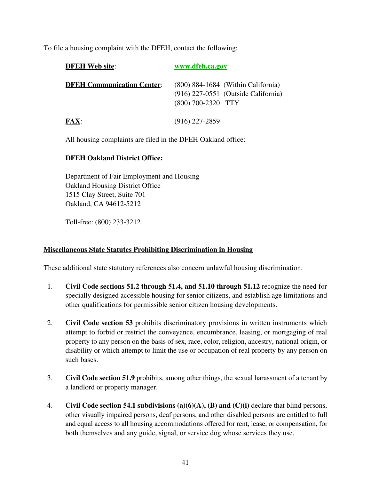To file a housing complaint with the DFEH, contact the following:

| <b>DFEH Web site:</b>             | www.dfeh.ca.gov                                                                                       |
|-----------------------------------|-------------------------------------------------------------------------------------------------------|
| <b>DFEH Communication Center:</b> | $(800)$ 884-1684 (Within California)<br>$(916)$ 227-0551 (Outside California)<br>$(800)$ 700-2320 TTY |
| FAX:                              | $(916)$ 227-2859                                                                                      |

All housing complaints are filed in the DFEH Oakland office:

## **DFEH Oakland District Office:**

Department of Fair Employment and Housing Oakland Housing District Office 1515 Clay Street, Suite 701 Oakland, CA 94612-5212

Toll-free: (800) 233-3212

## **Miscellaneous State Statutes Prohibiting Discrimination in Housing**

These additional state statutory references also concern unlawful housing discrimination.

- 1. **Civil Code sections 51.2 through 51.4, and 51.10 through 51.12** recognize the need for specially designed accessible housing for senior citizens, and establish age limitations and other qualifications for permissible senior citizen housing developments.
- 2. **Civil Code section 53** prohibits discriminatory provisions in written instruments which attempt to forbid or restrict the conveyance, encumbrance, leasing, or mortgaging of real property to any person on the basis of sex, race, color, religion, ancestry, national origin, or disability or which attempt to limit the use or occupation of real property by any person on such bases.
- 3. **Civil Code section 51.9** prohibits, among other things, the sexual harassment of a tenant by a landlord or property manager.
- 4. **Civil Code section 54.1 subdivisions (a)(6)(A), (B) and (C)(i)** declare that blind persons, other visually impaired persons, deaf persons, and other disabled persons are entitled to full and equal access to all housing accommodations offered for rent, lease, or compensation, for both themselves and any guide, signal, or service dog whose services they use.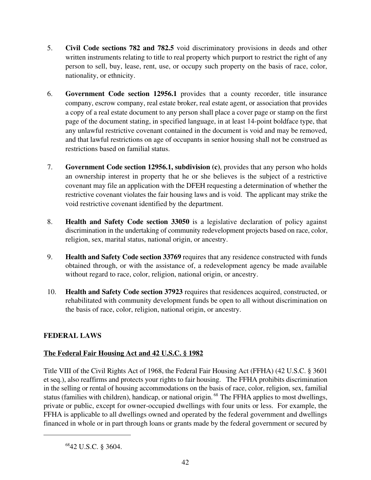- 5. **Civil Code sections 782 and 782.5** void discriminatory provisions in deeds and other written instruments relating to title to real property which purport to restrict the right of any person to sell, buy, lease, rent, use, or occupy such property on the basis of race, color, nationality, or ethnicity.
- 6. **Government Code section 12956.1** provides that a county recorder, title insurance company, escrow company, real estate broker, real estate agent, or association that provides a copy of a real estate document to any person shall place a cover page or stamp on the first page of the document stating, in specified language, in at least 14-point boldface type, that any unlawful restrictive covenant contained in the document is void and may be removed, and that lawful restrictions on age of occupants in senior housing shall not be construed as restrictions based on familial status.
- 7. **Government Code section 12956.1, subdivision (c)**, provides that any person who holds an ownership interest in property that he or she believes is the subject of a restrictive covenant may file an application with the DFEH requesting a determination of whether the restrictive covenant violates the fair housing laws and is void. The applicant may strike the void restrictive covenant identified by the department.
- 8. **Health and Safety Code section 33050** is a legislative declaration of policy against discrimination in the undertaking of community redevelopment projects based on race, color, religion, sex, marital status, national origin, or ancestry.
- 9. **Health and Safety Code section 33769** requires that any residence constructed with funds obtained through, or with the assistance of, a redevelopment agency be made available without regard to race, color, religion, national origin, or ancestry.
- 10. **Health and Safety Code section 37923** requires that residences acquired, constructed, or rehabilitated with community development funds be open to all without discrimination on the basis of race, color, religion, national origin, or ancestry.

# **FEDERAL LAWS**

# **The Federal Fair Housing Act and 42 U.S.C. § 1982**

Title VIII of the Civil Rights Act of 1968, the Federal Fair Housing Act (FFHA) (42 U.S.C. § 3601 et seq.), also reaffirms and protects your rights to fair housing. The FFHA prohibits discrimination in the selling or rental of housing accommodations on the basis of race, color, religion, sex, familial status (families with children), handicap, or national origin. <sup>68</sup> The FFHA applies to most dwellings, private or public, except for owner-occupied dwellings with four units or less. For example, the FFHA is applicable to all dwellings owned and operated by the federal government and dwellings financed in whole or in part through loans or grants made by the federal government or secured by

<sup>&</sup>lt;sup>68</sup>42 U.S.C. § 3604.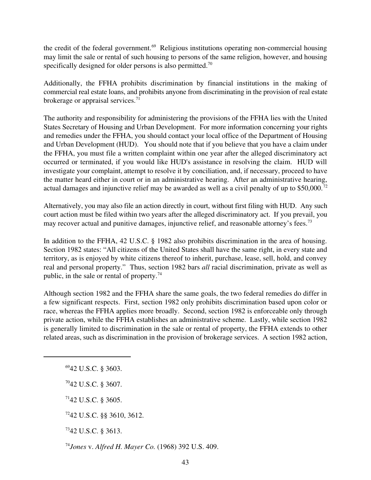the credit of the federal government.<sup>69</sup> Religious institutions operating non-commercial housing may limit the sale or rental of such housing to persons of the same religion, however, and housing specifically designed for older persons is also permitted.<sup>70</sup>

Additionally, the FFHA prohibits discrimination by financial institutions in the making of commercial real estate loans, and prohibits anyone from discriminating in the provision of real estate brokerage or appraisal services. $71$ 

The authority and responsibility for administering the provisions of the FFHA lies with the United States Secretary of Housing and Urban Development. For more information concerning your rights and remedies under the FFHA, you should contact your local office of the Department of Housing and Urban Development (HUD). You should note that if you believe that you have a claim under the FFHA, you must file a written complaint within one year after the alleged discriminatory act occurred or terminated, if you would like HUD's assistance in resolving the claim. HUD will investigate your complaint, attempt to resolve it by conciliation, and, if necessary, proceed to have the matter heard either in court or in an administrative hearing. After an administrative hearing, actual damages and injunctive relief may be awarded as well as a civil penalty of up to \$50,000.<sup>72</sup>

Alternatively, you may also file an action directly in court, without first filing with HUD. Any such court action must be filed within two years after the alleged discriminatory act. If you prevail, you may recover actual and punitive damages, injunctive relief, and reasonable attorney's fees.<sup>73</sup>

In addition to the FFHA, 42 U.S.C. § 1982 also prohibits discrimination in the area of housing. Section 1982 states: "All citizens of the United States shall have the same right, in every state and territory, as is enjoyed by white citizens thereof to inherit, purchase, lease, sell, hold, and convey real and personal property." Thus, section 1982 bars *all* racial discrimination, private as well as public, in the sale or rental of property. 74

Although section 1982 and the FFHA share the same goals, the two federal remedies do differ in a few significant respects. First, section 1982 only prohibits discrimination based upon color or race, whereas the FFHA applies more broadly. Second, section 1982 is enforceable only through private action, while the FFHA establishes an administrative scheme. Lastly, while section 1982 is generally limited to discrimination in the sale or rental of property, the FFHA extends to other related areas, such as discrimination in the provision of brokerage services. A section 1982 action,

 $^{71}$ 42 U.S.C. § 3605.

 $7242$  U.S.C. §§ 3610, 3612.

 $^{73}$ 42 U.S.C. § 3613.

*Jones* v. *Alfred H. Mayer Co.* (1968) 392 U.S. 409. <sup>74</sup>

 $^{69}$ 42 U.S.C. § 3603.

<sup>7042</sup> U.S.C. § 3607.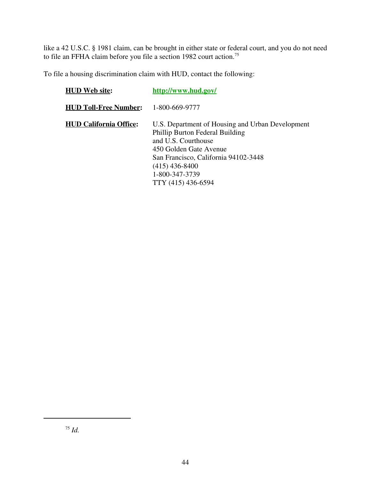like a 42 U.S.C. § 1981 claim, can be brought in either state or federal court, and you do not need to file an FFHA claim before you file a section 1982 court action.<sup>75</sup>

To file a housing discrimination claim with HUD, contact the following:

| <b>HUD Web site:</b>          | http://www.hud.gov/                                                                                                                                                                                                                             |
|-------------------------------|-------------------------------------------------------------------------------------------------------------------------------------------------------------------------------------------------------------------------------------------------|
| <b>HUD Toll-Free Number:</b>  | 1-800-669-9777                                                                                                                                                                                                                                  |
| <b>HUD California Office:</b> | U.S. Department of Housing and Urban Development<br><b>Phillip Burton Federal Building</b><br>and U.S. Courthouse<br>450 Golden Gate Avenue<br>San Francisco, California 94102-3448<br>$(415)$ 436-8400<br>1-800-347-3739<br>TTY (415) 436-6594 |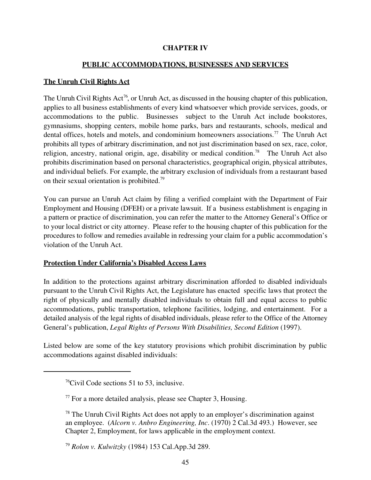#### **CHAPTER IV**

#### **PUBLIC ACCOMMODATIONS, BUSINESSES AND SERVICES**

#### **The Unruh Civil Rights Act**

The Unruh Civil Rights Act<sup>76</sup>, or Unruh Act, as discussed in the housing chapter of this publication, applies to all business establishments of every kind whatsoever which provide services, goods, or accommodations to the public. Businesses subject to the Unruh Act include bookstores, gymnasiums, shopping centers, mobile home parks, bars and restaurants, schools, medical and dental offices, hotels and motels, and condominium homeowners associations.<sup>77</sup> The Unruh Act prohibits all types of arbitrary discrimination, and not just discrimination based on sex, race, color, religion, ancestry, national origin, age, disability or medical condition.<sup>78</sup> The Unruh Act also prohibits discrimination based on personal characteristics, geographical origin, physical attributes, and individual beliefs. For example, the arbitrary exclusion of individuals from a restaurant based on their sexual orientation is prohibited.79

You can pursue an Unruh Act claim by filing a verified complaint with the Department of Fair Employment and Housing (DFEH) or a private lawsuit. If a business establishment is engaging in a pattern or practice of discrimination, you can refer the matter to the Attorney General's Office or to your local district or city attorney. Please refer to the housing chapter of this publication for the procedures to follow and remedies available in redressing your claim for a public accommodation's violation of the Unruh Act.

## **Protection Under California's Disabled Access Laws**

In addition to the protections against arbitrary discrimination afforded to disabled individuals pursuant to the Unruh Civil Rights Act, the Legislature has enacted specific laws that protect the right of physically and mentally disabled individuals to obtain full and equal access to public accommodations, public transportation, telephone facilities, lodging, and entertainment. For a detailed analysis of the legal rights of disabled individuals, please refer to the Office of the Attorney General's publication, *Legal Rights of Persons With Disabilities, Second Edition* (1997).

Listed below are some of the key statutory provisions which prohibit discrimination by public accommodations against disabled individuals:

 $\frac{76}{6}$ Civil Code sections 51 to 53, inclusive.

 $^{77}$  For a more detailed analysis, please see Chapter 3, Housing.

 $78$  The Unruh Civil Rights Act does not apply to an employer's discrimination against an employee. (*Alcorn v. Anbro Engineering, Inc*. (1970) 2 Cal.3d 493.) However, see Chapter 2, Employment, for laws applicable in the employment context.

*Rolon v. Kulwitzky* (1984) 153 Cal.App.3d 289. <sup>79</sup>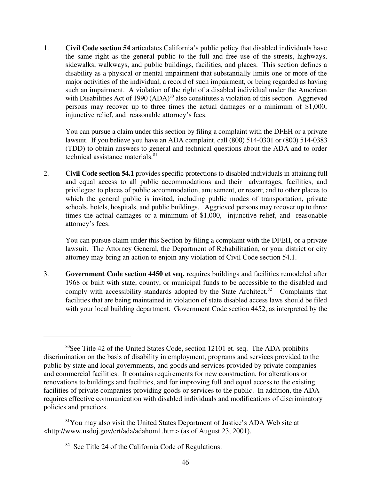1. **Civil Code section 54** articulates California's public policy that disabled individuals have the same right as the general public to the full and free use of the streets, highways, sidewalks, walkways, and public buildings, facilities, and places. This section defines a disability as a physical or mental impairment that substantially limits one or more of the major activities of the individual, a record of such impairment, or being regarded as having such an impairment. A violation of the right of a disabled individual under the American with Disabilities Act of 1990  $(ADA)^{80}$  also constitutes a violation of this section. Aggrieved persons may recover up to three times the actual damages or a minimum of \$1,000, injunctive relief, and reasonable attorney's fees.

You can pursue a claim under this section by filing a complaint with the DFEH or a private lawsuit. If you believe you have an ADA complaint, call (800) 514-0301 or (800) 514-0383 (TDD) to obtain answers to general and technical questions about the ADA and to order technical assistance materials.<sup>81</sup>

2. **Civil Code section 54.1** provides specific protections to disabled individuals in attaining full and equal access to all public accommodations and their advantages, facilities, and privileges; to places of public accommodation, amusement, or resort; and to other places to which the general public is invited, including public modes of transportation, private schools, hotels, hospitals, and public buildings. Aggrieved persons may recover up to three times the actual damages or a minimum of \$1,000, injunctive relief, and reasonable attorney's fees.

You can pursue claim under this Section by filing a complaint with the DFEH, or a private lawsuit. The Attorney General, the Department of Rehabilitation, or your district or city attorney may bring an action to enjoin any violation of Civil Code section 54.1.

3. **Government Code section 4450 et seq.** requires buildings and facilities remodeled after 1968 or built with state, county, or municipal funds to be accessible to the disabled and comply with accessibility standards adopted by the State Architect.<sup>82</sup> Complaints that facilities that are being maintained in violation of state disabled access laws should be filed with your local building department. Government Code section 4452, as interpreted by the

 ${}^{80}$ See Title 42 of the United States Code, section 12101 et. seq. The ADA prohibits discrimination on the basis of disability in employment, programs and services provided to the public by state and local governments, and goods and services provided by private companies and commercial facilities. It contains requirements for new construction, for alterations or renovations to buildings and facilities, and for improving full and equal access to the existing facilities of private companies providing goods or services to the public. In addition, the ADA requires effective communication with disabled individuals and modifications of discriminatory policies and practices.

 ${}^{81}$ You may also visit the United States Department of Justice's ADA Web site at <http://www.usdoj.gov/crt/ada/adahom1.htm> (as of August 23, 2001).

 $82$  See Title 24 of the California Code of Regulations.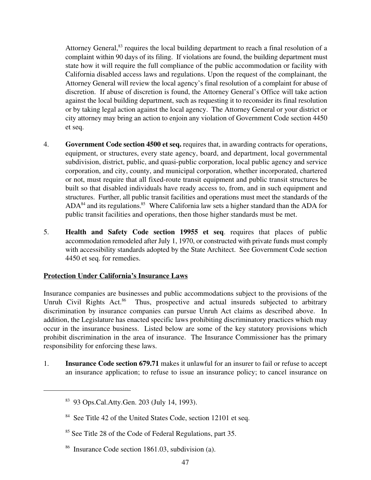Attorney General, $^{83}$  requires the local building department to reach a final resolution of a complaint within 90 days of its filing. If violations are found, the building department must state how it will require the full compliance of the public accommodation or facility with California disabled access laws and regulations. Upon the request of the complainant, the Attorney General will review the local agency's final resolution of a complaint for abuse of discretion. If abuse of discretion is found, the Attorney General's Office will take action against the local building department, such as requesting it to reconsider its final resolution or by taking legal action against the local agency. The Attorney General or your district or city attorney may bring an action to enjoin any violation of Government Code section 4450 et seq.

- 4. **Government Code section 4500 et seq.** requires that, in awarding contracts for operations, equipment, or structures, every state agency, board, and department, local governmental subdivision, district, public, and quasi-public corporation, local public agency and service corporation, and city, county, and municipal corporation, whether incorporated, chartered or not, must require that all fixed-route transit equipment and public transit structures be built so that disabled individuals have ready access to, from, and in such equipment and structures. Further, all public transit facilities and operations must meet the standards of the  $ADA<sup>84</sup>$  and its regulations.<sup>85</sup> Where California law sets a higher standard than the ADA for public transit facilities and operations, then those higher standards must be met.
- 5. **Health and Safety Code section 19955 et seq**. requires that places of public accommodation remodeled after July 1, 1970, or constructed with private funds must comply with accessibility standards adopted by the State Architect. See Government Code section 4450 et seq. for remedies.

#### **Protection Under California's Insurance Laws**

Insurance companies are businesses and public accommodations subject to the provisions of the Unruh Civil Rights Act. $86$  Thus, prospective and actual insureds subjected to arbitrary discrimination by insurance companies can pursue Unruh Act claims as described above. In addition, the Legislature has enacted specific laws prohibiting discriminatory practices which may occur in the insurance business. Listed below are some of the key statutory provisions which prohibit discrimination in the area of insurance. The Insurance Commissioner has the primary responsibility for enforcing these laws.

1. **Insurance Code section 679.71** makes it unlawful for an insurer to fail or refuse to accept an insurance application; to refuse to issue an insurance policy; to cancel insurance on

<sup>&</sup>lt;sup>83</sup> 93 Ops.Cal.Atty.Gen. 203 (July 14, 1993).

<sup>&</sup>lt;sup>84</sup> See Title 42 of the United States Code, section 12101 et seq.

<sup>&</sup>lt;sup>85</sup> See Title 28 of the Code of Federal Regulations, part 35.

 $86$  Insurance Code section 1861.03, subdivision (a).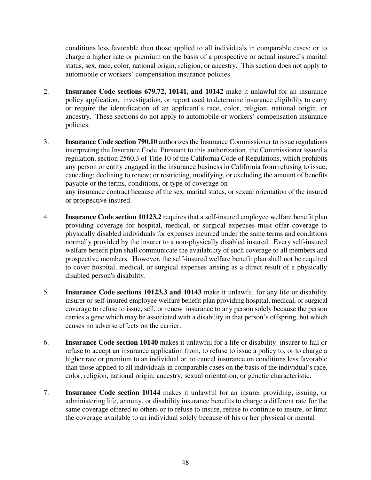conditions less favorable than those applied to all individuals in comparable cases; or to charge a higher rate or premium on the basis of a prospective or actual insured's marital status, sex, race, color, national origin, religion, or ancestry. This section does not apply to automobile or workers' compensation insurance policies

- 2. **Insurance Code sections 679.72, 10141, and 10142** make it unlawful for an insurance policy application, investigation, or report used to determine insurance eligibility to carry or require the identification of an applicant's race, color, religion, national origin, or ancestry. These sections do not apply to automobile or workers' compensation insurance policies.
- 3. **Insurance Code section 790.10** authorizes the Insurance Commissioner to issue regulations interpreting the Insurance Code. Pursuant to this authorization, the Commissioner issued a regulation, section 2560.3 of Title 10 of the California Code of Regulations, which prohibits any person or entity engaged in the insurance business in California from refusing to issue; canceling; declining to renew; or restricting, modifying, or excluding the amount of benefits payable or the terms, conditions, or type of coverage on any insurance contract because of the sex, marital status, or sexual orientation of the insured or prospective insured.
- 4. **Insurance Code section 10123.2** requires that a self-insured employee welfare benefit plan providing coverage for hospital, medical, or surgical expenses must offer coverage to physically disabled individuals for expenses incurred under the same terms and conditions normally provided by the insurer to a non-physically disabled insured. Every self-insured welfare benefit plan shall communicate the availability of such coverage to all members and prospective members. However, the self-insured welfare benefit plan shall not be required to cover hospital, medical, or surgical expenses arising as a direct result of a physically disabled person's disability.
- 5. **Insurance Code sections 10123.3 and 10143** make it unlawful for any life or disability insurer or self-insured employee welfare benefit plan providing hospital, medical, or surgical coverage to refuse to issue, sell, or renew insurance to any person solely because the person carries a gene which may be associated with a disability in that person's offspring, but which causes no adverse effects on the carrier.
- 6. **Insurance Code section 10140** makes it unlawful for a life or disability insurer to fail or refuse to accept an insurance application from, to refuse to issue a policy to, or to charge a higher rate or premium to an individual or to cancel insurance on conditions less favorable than those applied to all individuals in comparable cases on the basis of the individual's race, color, religion, national origin, ancestry, sexual orientation, or genetic characteristic.
- 7. **Insurance Code section 10144** makes it unlawful for an insurer providing, issuing, or administering life, annuity, or disability insurance benefits to charge a different rate for the same coverage offered to others or to refuse to insure, refuse to continue to insure, or limit the coverage available to an individual solely because of his or her physical or mental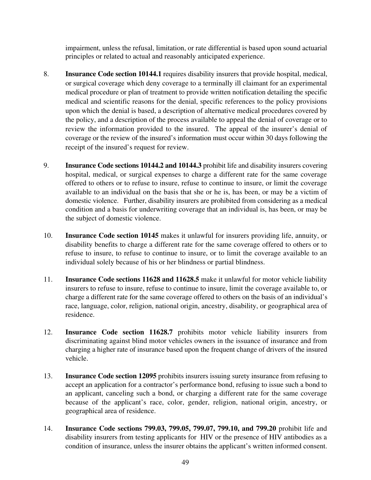impairment, unless the refusal, limitation, or rate differential is based upon sound actuarial principles or related to actual and reasonably anticipated experience.

- 8. **Insurance Code section 10144.1** requires disability insurers that provide hospital, medical, or surgical coverage which deny coverage to a terminally ill claimant for an experimental medical procedure or plan of treatment to provide written notification detailing the specific medical and scientific reasons for the denial, specific references to the policy provisions upon which the denial is based, a description of alternative medical procedures covered by the policy, and a description of the process available to appeal the denial of coverage or to review the information provided to the insured. The appeal of the insurer's denial of coverage or the review of the insured's information must occur within 30 days following the receipt of the insured's request for review.
- 9. **Insurance Code sections 10144.2 and 10144.3** prohibit life and disability insurers covering hospital, medical, or surgical expenses to charge a different rate for the same coverage offered to others or to refuse to insure, refuse to continue to insure, or limit the coverage available to an individual on the basis that she or he is, has been, or may be a victim of domestic violence. Further, disability insurers are prohibited from considering as a medical condition and a basis for underwriting coverage that an individual is, has been, or may be the subject of domestic violence.
- 10. **Insurance Code section 10145** makes it unlawful for insurers providing life, annuity, or disability benefits to charge a different rate for the same coverage offered to others or to refuse to insure, to refuse to continue to insure, or to limit the coverage available to an individual solely because of his or her blindness or partial blindness.
- 11. **Insurance Code sections 11628 and 11628.5** make it unlawful for motor vehicle liability insurers to refuse to insure, refuse to continue to insure, limit the coverage available to, or charge a different rate for the same coverage offered to others on the basis of an individual's race, language, color, religion, national origin, ancestry, disability, or geographical area of residence.
- 12. **Insurance Code section 11628.7** prohibits motor vehicle liability insurers from discriminating against blind motor vehicles owners in the issuance of insurance and from charging a higher rate of insurance based upon the frequent change of drivers of the insured vehicle.
- 13. **Insurance Code section 12095** prohibits insurers issuing surety insurance from refusing to accept an application for a contractor's performance bond, refusing to issue such a bond to an applicant, canceling such a bond, or charging a different rate for the same coverage because of the applicant's race, color, gender, religion, national origin, ancestry, or geographical area of residence.
- 14. **Insurance Code sections 799.03, 799.05, 799.07, 799.10, and 799.20** prohibit life and disability insurers from testing applicants for HIV or the presence of HIV antibodies as a condition of insurance, unless the insurer obtains the applicant's written informed consent.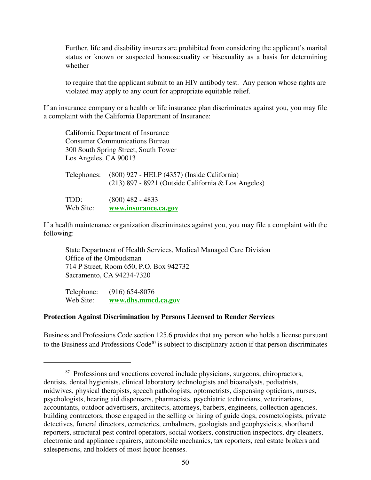Further, life and disability insurers are prohibited from considering the applicant's marital status or known or suspected homosexuality or bisexuality as a basis for determining whether

to require that the applicant submit to an HIV antibody test. Any person whose rights are violated may apply to any court for appropriate equitable relief.

If an insurance company or a health or life insurance plan discriminates against you, you may file a complaint with the California Department of Insurance:

California Department of Insurance Consumer Communications Bureau 300 South Spring Street, South Tower Los Angeles, CA 90013 Telephones: (800) 927 - HELP (4357) (Inside California) (213) 897 - 8921 (Outside California & Los Angeles) TDD: (800) 482 - 4833 Web Site: **www.insurance.ca.gov**

If a health maintenance organization discriminates against you, you may file a complaint with the following:

State Department of Health Services, Medical Managed Care Division Office of the Ombudsman 714 P Street, Room 650, P.O. Box 942732 Sacramento, CA 94234-7320

Telephone: (916) 654-8076 Web Site: **www.dhs.mmcd.ca.gov**

#### **Protection Against Discrimination by Persons Licensed to Render Services**

Business and Professions Code section 125.6 provides that any person who holds a license pursuant to the Business and Professions Code<sup>87</sup> is subject to disciplinary action if that person discriminates

<sup>&</sup>lt;sup>87</sup> Professions and vocations covered include physicians, surgeons, chiropractors, dentists, dental hygienists, clinical laboratory technologists and bioanalysts, podiatrists, midwives, physical therapists, speech pathologists, optometrists, dispensing opticians, nurses, psychologists, hearing aid dispensers, pharmacists, psychiatric technicians, veterinarians, accountants, outdoor advertisers, architects, attorneys, barbers, engineers, collection agencies, building contractors, those engaged in the selling or hiring of guide dogs, cosmetologists, private detectives, funeral directors, cemeteries, embalmers, geologists and geophysicists, shorthand reporters, structural pest control operators, social workers, construction inspectors, dry cleaners, electronic and appliance repairers, automobile mechanics, tax reporters, real estate brokers and salespersons, and holders of most liquor licenses.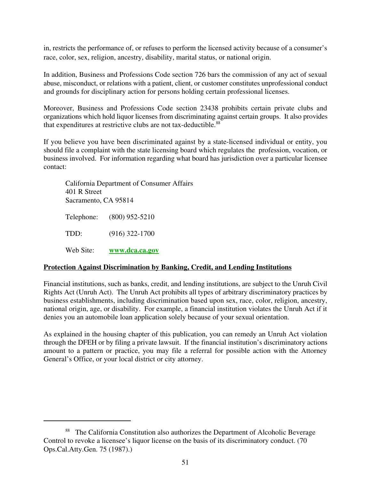in, restricts the performance of, or refuses to perform the licensed activity because of a consumer's race, color, sex, religion, ancestry, disability, marital status, or national origin.

In addition, Business and Professions Code section 726 bars the commission of any act of sexual abuse, misconduct, or relations with a patient, client, or customer constitutes unprofessional conduct and grounds for disciplinary action for persons holding certain professional licenses.

Moreover, Business and Professions Code section 23438 prohibits certain private clubs and organizations which hold liquor licenses from discriminating against certain groups. It also provides that expenditures at restrictive clubs are not tax-deductible.<sup>88</sup>

If you believe you have been discriminated against by a state-licensed individual or entity, you should file a complaint with the state licensing board which regulates the profession, vocation, or business involved. For information regarding what board has jurisdiction over a particular licensee contact:

California Department of Consumer Affairs 401 R Street Sacramento, CA 95814 Telephone: (800) 952-5210 TDD: (916) 322-1700 Web Site: **www.dca.ca.gov**

## **Protection Against Discrimination by Banking, Credit, and Lending Institutions**

Financial institutions, such as banks, credit, and lending institutions, are subject to the Unruh Civil Rights Act (Unruh Act). The Unruh Act prohibits all types of arbitrary discriminatory practices by business establishments, including discrimination based upon sex, race, color, religion, ancestry, national origin, age, or disability. For example, a financial institution violates the Unruh Act if it denies you an automobile loan application solely because of your sexual orientation.

As explained in the housing chapter of this publication, you can remedy an Unruh Act violation through the DFEH or by filing a private lawsuit. If the financial institution's discriminatory actions amount to a pattern or practice, you may file a referral for possible action with the Attorney General's Office, or your local district or city attorney.

<sup>&</sup>lt;sup>88</sup> The California Constitution also authorizes the Department of Alcoholic Beverage Control to revoke a licensee's liquor license on the basis of its discriminatory conduct. (70 Ops.Cal.Atty.Gen. 75 (1987).)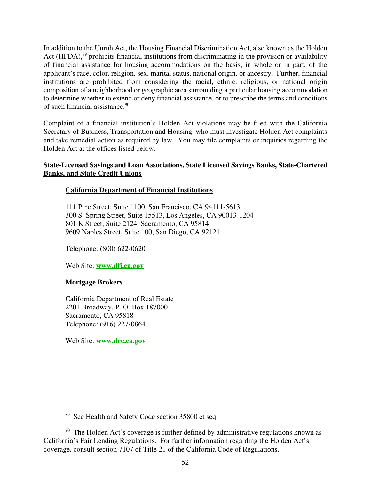In addition to the Unruh Act, the Housing Financial Discrimination Act, also known as the Holden Act (HFDA),  $89$  prohibits financial institutions from discriminating in the provision or availability of financial assistance for housing accommodations on the basis, in whole or in part, of the applicant's race, color, religion, sex, marital status, national origin, or ancestry. Further, financial institutions are prohibited from considering the racial, ethnic, religious, or national origin composition of a neighborhood or geographic area surrounding a particular housing accommodation to determine whether to extend or deny financial assistance, or to prescribe the terms and conditions of such financial assistance.<sup>90</sup>

Complaint of a financial institution's Holden Act violations may be filed with the California Secretary of Business, Transportation and Housing, who must investigate Holden Act complaints and take remedial action as required by law. You may file complaints or inquiries regarding the Holden Act at the offices listed below.

#### **State-Licensed Savings and Loan Associations, State Licensed Savings Banks, State-Chartered Banks, and State Credit Unions**

#### **California Department of Financial Institutions**

111 Pine Street, Suite 1100, San Francisco, CA 94111-5613 300 S. Spring Street, Suite 15513, Los Angeles, CA 90013-1204 801 K Street, Suite 2124, Sacramento, CA 95814 9609 Naples Street, Suite 100, San Diego, CA 92121

Telephone: (800) 622-0620

Web Site: **www.dfi.ca.gov**

## **Mortgage Brokers**

California Department of Real Estate 2201 Broadway, P. O. Box 187000 Sacramento, CA 95818 Telephone: (916) 227-0864

Web Site: **www.dre.ca.gov**

<sup>&</sup>lt;sup>89</sup> See Health and Safety Code section 35800 et seq.

 $90$  The Holden Act's coverage is further defined by administrative regulations known as California's Fair Lending Regulations. For further information regarding the Holden Act's coverage, consult section 7107 of Title 21 of the California Code of Regulations.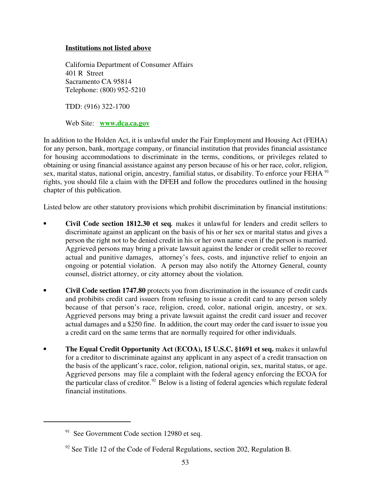#### **Institutions not listed above**

California Department of Consumer Affairs 401 R Street Sacramento CA 95814 Telephone: (800) 952-5210

TDD: (916) 322-1700

Web Site: **www.dca.ca.gov**

In addition to the Holden Act, it is unlawful under the Fair Employment and Housing Act (FEHA) for any person, bank, mortgage company, or financial institution that provides financial assistance for housing accommodations to discriminate in the terms, conditions, or privileges related to obtaining or using financial assistance against any person because of his or her race, color, religion, sex, marital status, national origin, ancestry, familial status, or disability. To enforce your FEHA <sup>91</sup> rights, you should file a claim with the DFEH and follow the procedures outlined in the housing chapter of this publication.

Listed below are other statutory provisions which prohibit discrimination by financial institutions:

- *•* **Civil Code section 1812.30 et seq***.* makes it unlawful for lenders and credit sellers to discriminate against an applicant on the basis of his or her sex or marital status and gives a person the right not to be denied credit in his or her own name even if the person is married. Aggrieved persons may bring a private lawsuit against the lender or credit seller to recover actual and punitive damages, attorney's fees, costs, and injunctive relief to enjoin an ongoing or potential violation. A person may also notify the Attorney General, county counsel, district attorney, or city attorney about the violation.
- *•* **Civil Code section 1747.80** protects you from discrimination in the issuance of credit cards and prohibits credit card issuers from refusing to issue a credit card to any person solely because of that person's race, religion, creed, color, national origin, ancestry, or sex. Aggrieved persons may bring a private lawsuit against the credit card issuer and recover actual damages and a \$250 fine. In addition, the court may order the card issuer to issue you a credit card on the same terms that are normally required for other individuals.
- *•* **The Equal Credit Opportunity Act (ECOA), 15 U.S.C. §1691 et seq.** makes it unlawful for a creditor to discriminate against any applicant in any aspect of a credit transaction on the basis of the applicant's race, color, religion, national origin, sex, marital status, or age. Aggrieved persons may file a complaint with the federal agency enforcing the ECOA for the particular class of creditor.<sup>92</sup> Below is a listing of federal agencies which regulate federal financial institutions.

 $91$  See Government Code section 12980 et seq.

 $92$  See Title 12 of the Code of Federal Regulations, section 202, Regulation B.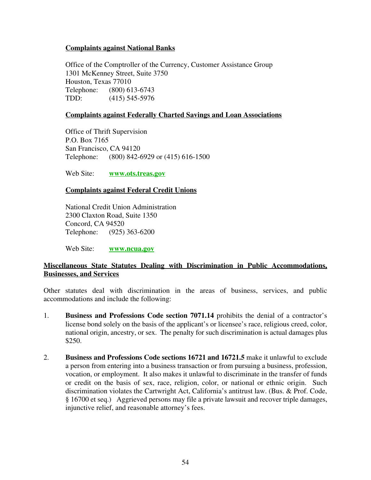#### **Complaints against National Banks**

Office of the Comptroller of the Currency, Customer Assistance Group 1301 McKenney Street, Suite 3750 Houston, Texas 77010 Telephone: (800) 613-6743 TDD: (415) 545-5976

#### **Complaints against Federally Charted Savings and Loan Associations**

Office of Thrift Supervision P.O. Box 7165 San Francisco, CA 94120 Telephone: (800) 842-6929 or (415) 616-1500

Web Site: **www.ots.treas.gov**

#### **Complaints against Federal Credit Unions**

National Credit Union Administration 2300 Claxton Road, Suite 1350 Concord, CA 94520 Telephone: (925) 363-6200

Web Site: **www.ncua.gov**

## **Miscellaneous State Statutes Dealing with Discrimination in Public Accommodations, Businesses, and Services**

Other statutes deal with discrimination in the areas of business, services, and public accommodations and include the following:

- 1. **Business and Professions Code section 7071.14** prohibits the denial of a contractor's license bond solely on the basis of the applicant's or licensee's race, religious creed, color, national origin, ancestry, or sex. The penalty for such discrimination is actual damages plus \$250.
- 2. **Business and Professions Code sections 16721 and 16721.5** make it unlawful to exclude a person from entering into a business transaction or from pursuing a business, profession, vocation, or employment. It also makes it unlawful to discriminate in the transfer of funds or credit on the basis of sex, race, religion, color, or national or ethnic origin. Such discrimination violates the Cartwright Act, California's antitrust law. (Bus. & Prof. Code, § 16700 et seq.) Aggrieved persons may file a private lawsuit and recover triple damages, injunctive relief, and reasonable attorney's fees.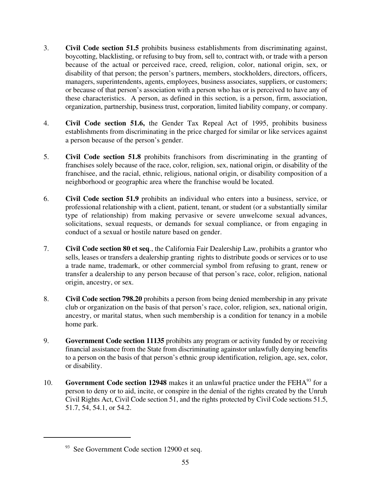- 3. **Civil Code section 51.5** prohibits business establishments from discriminating against, boycotting, blacklisting, or refusing to buy from, sell to, contract with, or trade with a person because of the actual or perceived race, creed, religion, color, national origin, sex, or disability of that person; the person's partners, members, stockholders, directors, officers, managers, superintendents, agents, employees, business associates, suppliers, or customers; or because of that person's association with a person who has or is perceived to have any of these characteristics. A person, as defined in this section, is a person, firm, association, organization, partnership, business trust, corporation, limited liability company, or company.
- 4. **Civil Code section 51.6,** the Gender Tax Repeal Act of 1995, prohibits business establishments from discriminating in the price charged for similar or like services against a person because of the person's gender.
- 5. **Civil Code section 51.8** prohibits franchisors from discriminating in the granting of franchises solely because of the race, color, religion, sex, national origin, or disability of the franchisee, and the racial, ethnic, religious, national origin, or disability composition of a neighborhood or geographic area where the franchise would be located.
- 6. **Civil Code section 51.9** prohibits an individual who enters into a business, service, or professional relationship with a client, patient, tenant, or student (or a substantially similar type of relationship) from making pervasive or severe unwelcome sexual advances, solicitations, sexual requests, or demands for sexual compliance, or from engaging in conduct of a sexual or hostile nature based on gender.
- 7. **Civil Code section 80 et seq**., the California Fair Dealership Law, prohibits a grantor who sells, leases or transfers a dealership granting rights to distribute goods or services or to use a trade name, trademark, or other commercial symbol from refusing to grant, renew or transfer a dealership to any person because of that person's race, color, religion, national origin, ancestry, or sex.
- 8. **Civil Code section 798.20** prohibits a person from being denied membership in any private club or organization on the basis of that person's race, color, religion, sex, national origin, ancestry, or marital status, when such membership is a condition for tenancy in a mobile home park.
- 9. **Government Code section 11135** prohibits any program or activity funded by or receiving financial assistance from the State from discriminating againstor unlawfully denying benefits to a person on the basis of that person's ethnic group identification, religion, age, sex, color, or disability.
- 10. **Government Code section 12948** makes it an unlawful practice under the FEHA<sup>93</sup> for a person to deny or to aid, incite, or conspire in the denial of the rights created by the Unruh Civil Rights Act, Civil Code section 51, and the rights protected by Civil Code sections 51.5, 51.7, 54, 54.1, or 54.2.

 $93$  See Government Code section 12900 et seq.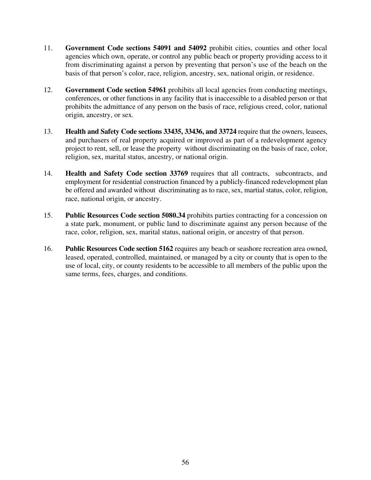- 11. **Government Code sections 54091 and 54092** prohibit cities, counties and other local agencies which own, operate, or control any public beach or property providing access to it from discriminating against a person by preventing that person's use of the beach on the basis of that person's color, race, religion, ancestry, sex, national origin, or residence.
- 12. **Government Code section 54961** prohibits all local agencies from conducting meetings, conferences, or other functions in any facility that is inaccessible to a disabled person or that prohibits the admittance of any person on the basis of race, religious creed, color, national origin, ancestry, or sex.
- 13. **Health and Safety Code sections 33435, 33436, and 33724** require that the owners, leasees, and purchasers of real property acquired or improved as part of a redevelopment agency project to rent, sell, or lease the property without discriminating on the basis of race, color, religion, sex, marital status, ancestry, or national origin.
- 14. **Health and Safety Code section 33769** requires that all contracts, subcontracts, and employment for residential construction financed by a publicly-financed redevelopment plan be offered and awarded without discriminating as to race, sex, martial status, color, religion, race, national origin, or ancestry.
- 15. **Public Resources Code section 5080.34** prohibits parties contracting for a concession on a state park, monument, or public land to discriminate against any person because of the race, color, religion, sex, marital status, national origin, or ancestry of that person.
- 16. **Public Resources Code section 5162** requires any beach or seashore recreation area owned, leased, operated, controlled, maintained, or managed by a city or county that is open to the use of local, city, or county residents to be accessible to all members of the public upon the same terms, fees, charges, and conditions.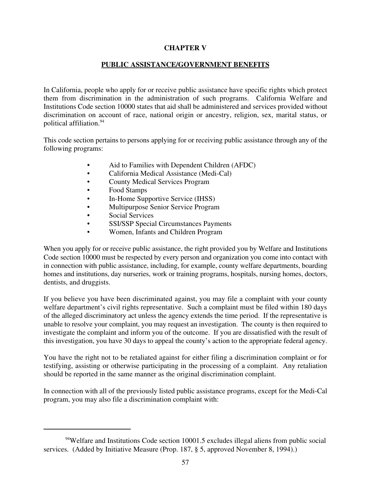## **CHAPTER V**

# **PUBLIC ASSISTANCE/GOVERNMENT BENEFITS**

In California, people who apply for or receive public assistance have specific rights which protect them from discrimination in the administration of such programs. California Welfare and Institutions Code section 10000 states that aid shall be administered and services provided without discrimination on account of race, national origin or ancestry, religion, sex, marital status, or political affiliation.<sup>94</sup>

This code section pertains to persons applying for or receiving public assistance through any of the following programs:

- Aid to Families with Dependent Children (AFDC)
- California Medical Assistance (Medi-Cal)
- County Medical Services Program
- Food Stamps
- In-Home Supportive Service (IHSS)
- Multipurpose Senior Service Program
- Social Services
- SSI/SSP Special Circumstances Payments
- Women, Infants and Children Program

When you apply for or receive public assistance, the right provided you by Welfare and Institutions Code section 10000 must be respected by every person and organization you come into contact with in connection with public assistance, including, for example, county welfare departments, boarding homes and institutions, day nurseries, work or training programs, hospitals, nursing homes, doctors, dentists, and druggists.

If you believe you have been discriminated against, you may file a complaint with your county welfare department's civil rights representative. Such a complaint must be filed within 180 days of the alleged discriminatory act unless the agency extends the time period. If the representative is unable to resolve your complaint, you may request an investigation. The county is then required to investigate the complaint and inform you of the outcome. If you are dissatisfied with the result of this investigation, you have 30 days to appeal the county's action to the appropriate federal agency.

You have the right not to be retaliated against for either filing a discrimination complaint or for testifying, assisting or otherwise participating in the processing of a complaint. Any retaliation should be reported in the same manner as the original discrimination complaint.

In connection with all of the previously listed public assistance programs, except for the Medi-Cal program, you may also file a discrimination complaint with:

<sup>&</sup>lt;sup>94</sup>Welfare and Institutions Code section 10001.5 excludes illegal aliens from public social services. (Added by Initiative Measure (Prop. 187, § 5, approved November 8, 1994).)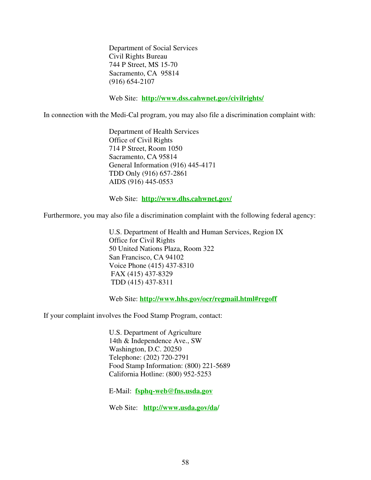Department of Social Services Civil Rights Bureau 744 P Street, MS 15-70 Sacramento, CA 95814 (916) 654-2107

Web Site: **http://www.dss.cahwnet.gov/civilrights/**

In connection with the Medi-Cal program, you may also file a discrimination complaint with:

Department of Health Services Office of Civil Rights 714 P Street, Room 1050 Sacramento, CA 95814 General Information (916) 445-4171 TDD Only (916) 657-2861 AIDS (916) 445-0553

Web Site: **http://www.dhs.cahwnet.gov/**

Furthermore, you may also file a discrimination complaint with the following federal agency:

U.S. Department of Health and Human Services, Region IX Office for Civil Rights 50 United Nations Plaza, Room 322 San Francisco, CA 94102 Voice Phone (415) 437-8310 FAX (415) 437-8329 TDD (415) 437-8311

Web Site: **http://www.hhs.gov/ocr/regmail.html#regoff**

If your complaint involves the Food Stamp Program, contact:

U.S. Department of Agriculture 14th & Independence Ave., SW Washington, D.C. 20250 Telephone: (202) 720-2791 Food Stamp Information: (800) 221-5689 California Hotline: (800) 952-5253

E-Mail: **fsphq-web@fns.usda.gov**

Web Site: **http://www.usda.gov/da/**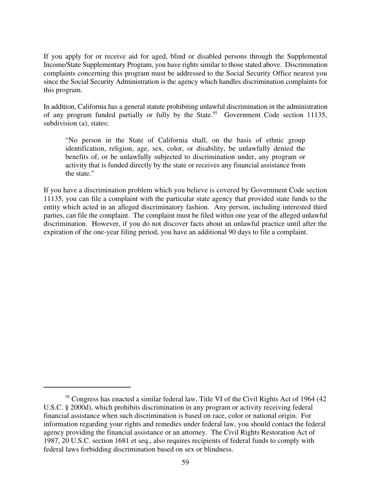If you apply for or receive aid for aged, blind or disabled persons through the Supplemental Income/State Supplementary Program, you have rights similar to those stated above. Discrimination complaints concerning this program must be addressed to the Social Security Office nearest you since the Social Security Administration is the agency which handles discrimination complaints for this program.

In addition, California has a general statute prohibiting unlawful discrimination in the administration of any program funded partially or fully by the State.<sup>95</sup> Government Code section 11135, subdivision (a), states:

"No person in the State of California shall, on the basis of ethnic group identification, religion, age, sex, color, or disability, be unlawfully denied the benefits of, or be unlawfully subjected to discrimination under, any program or activity that is funded directly by the state or receives any financial assistance from the state."

If you have a discrimination problem which you believe is covered by Government Code section 11135, you can file a complaint with the particular state agency that provided state funds to the entity which acted in an alleged discriminatory fashion. Any person, including interested third parties, can file the complaint. The complaint must be filed within one year of the alleged unlawful discrimination. However, if you do not discover facts about an unlawful practice until after the expiration of the one-year filing period, you have an additional 90 days to file a complaint.

 $95$  Congress has enacted a similar federal law, Title VI of the Civil Rights Act of 1964 (42) U.S.C. § 2000d), which prohibits discrimination in any program or activity receiving federal financial assistance when such discrimination is based on race, color or national origin. For information regarding your rights and remedies under federal law, you should contact the federal agency providing the financial assistance or an attorney. The Civil Rights Restoration Act of 1987, 20 U.S.C. section 1681 et seq., also requires recipients of federal funds to comply with federal laws forbidding discrimination based on sex or blindness.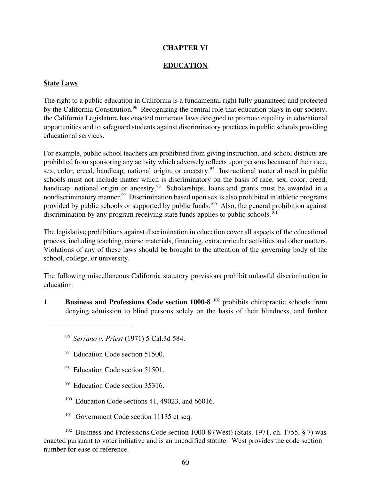#### **CHAPTER VI**

#### **EDUCATION**

#### **State Laws**

The right to a public education in California is a fundamental right fully guaranteed and protected by the California Constitution.<sup>96</sup> Recognizing the central role that education plays in our society, the California Legislature has enacted numerous laws designed to promote equality in educational opportunities and to safeguard students against discriminatory practices in public schools providing educational services.

For example, public school teachers are prohibited from giving instruction, and school districts are prohibited from sponsoring any activity which adversely reflects upon persons because of their race, sex, color, creed, handicap, national origin, or ancestry.<sup>97</sup> Instructional material used in public schools must not include matter which is discriminatory on the basis of race, sex, color, creed, handicap, national origin or ancestry.<sup>98</sup> Scholarships, loans and grants must be awarded in a nondiscriminatory manner.<sup>99</sup> Discrimination based upon sex is also prohibited in athletic programs provided by public schools or supported by public funds.<sup>100</sup> Also, the general prohibition against discrimination by any program receiving state funds applies to public schools.<sup>101</sup>

The legislative prohibitions against discrimination in education cover all aspects of the educational process, including teaching, course materials, financing, extracurricular activities and other matters. Violations of any of these laws should be brought to the attention of the governing body of the school, college, or university.

The following miscellaneous California statutory provisions prohibit unlawful discrimination in education:

- 1. **Business and Professions Code section 1000-8** <sup>102</sup> prohibits chiropractic schools from denying admission to blind persons solely on the basis of their blindness, and further
	- <sup>96</sup> Serrano v. Priest (1971) 5 Cal.3d 584.
	- $97$  Education Code section 51500.
	- <sup>98</sup> Education Code section 51501.
	- $99$  Education Code section 35316.
	- $100$  Education Code sections 41, 49023, and 66016.
	- $101$  Government Code section 11135 et seq.

 $102$  Business and Professions Code section 1000-8 (West) (Stats. 1971, ch. 1755, § 7) was enacted pursuant to voter initiative and is an uncodified statute. West provides the code section number for ease of reference.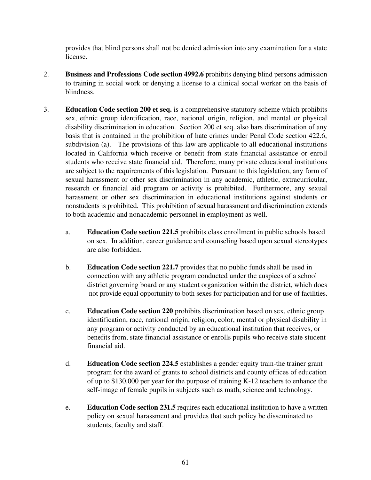provides that blind persons shall not be denied admission into any examination for a state license.

- 2. **Business and Professions Code section 4992.6** prohibits denying blind persons admission to training in social work or denying a license to a clinical social worker on the basis of blindness.
- 3. **Education Code section 200 et seq.** is a comprehensive statutory scheme which prohibits sex, ethnic group identification, race, national origin, religion, and mental or physical disability discrimination in education. Section 200 et seq. also bars discrimination of any basis that is contained in the prohibition of hate crimes under Penal Code section 422.6, subdivision (a). The provisions of this law are applicable to all educational institutions located in California which receive or benefit from state financial assistance or enroll students who receive state financial aid. Therefore, many private educational institutions are subject to the requirements of this legislation. Pursuant to this legislation, any form of sexual harassment or other sex discrimination in any academic, athletic, extracurricular, research or financial aid program or activity is prohibited. Furthermore, any sexual harassment or other sex discrimination in educational institutions against students or nonstudents is prohibited. This prohibition of sexual harassment and discrimination extends to both academic and nonacademic personnel in employment as well.
	- a. **Education Code section 221.5** prohibits class enrollment in public schools based on sex. In addition, career guidance and counseling based upon sexual stereotypes are also forbidden.
	- b. **Education Code section 221.7** provides that no public funds shall be used in connection with any athletic program conducted under the auspices of a school district governing board or any student organization within the district, which does not provide equal opportunity to both sexes for participation and for use of facilities.
	- c. **Education Code section 220** prohibits discrimination based on sex, ethnic group identification, race, national origin, religion, color, mental or physical disability in any program or activity conducted by an educational institution that receives, or benefits from, state financial assistance or enrolls pupils who receive state student financial aid.
	- d. **Education Code section 224.5** establishes a gender equity train-the trainer grant program for the award of grants to school districts and county offices of education of up to \$130,000 per year for the purpose of training K-12 teachers to enhance the self-image of female pupils in subjects such as math, science and technology.
	- e. **Education Code section 231.5** requires each educational institution to have a written policy on sexual harassment and provides that such policy be disseminated to students, faculty and staff.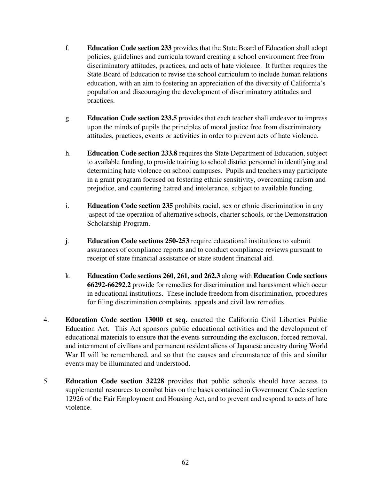- f. **Education Code section 233** provides that the State Board of Education shall adopt policies, guidelines and curricula toward creating a school environment free from discriminatory attitudes, practices, and acts of hate violence. It further requires the State Board of Education to revise the school curriculum to include human relations education, with an aim to fostering an appreciation of the diversity of California's population and discouraging the development of discriminatory attitudes and practices.
- g. **Education Code section 233.5** provides that each teacher shall endeavor to impress upon the minds of pupils the principles of moral justice free from discriminatory attitudes, practices, events or activities in order to prevent acts of hate violence.
- h. **Education Code section 233.8** requires the State Department of Education, subject to available funding, to provide training to school district personnel in identifying and determining hate violence on school campuses. Pupils and teachers may participate in a grant program focused on fostering ethnic sensitivity, overcoming racism and prejudice, and countering hatred and intolerance, subject to available funding.
- i. **Education Code section 235** prohibits racial, sex or ethnic discrimination in any aspect of the operation of alternative schools, charter schools, or the Demonstration Scholarship Program.
- j. **Education Code sections 250-253** require educational institutions to submit assurances of compliance reports and to conduct compliance reviews pursuant to receipt of state financial assistance or state student financial aid.
- k. **Education Code sections 260, 261, and 262.3** along with **Education Code sections 66292-66292.2** provide for remedies for discrimination and harassment which occur in educational institutions. These include freedom from discrimination, procedures for filing discrimination complaints, appeals and civil law remedies.
- 4. **Education Code section 13000 et seq.** enacted the California Civil Liberties Public Education Act. This Act sponsors public educational activities and the development of educational materials to ensure that the events surrounding the exclusion, forced removal, and internment of civilians and permanent resident aliens of Japanese ancestry during World War II will be remembered, and so that the causes and circumstance of this and similar events may be illuminated and understood.
- 5. **Education Code section 32228** provides that public schools should have access to supplemental resources to combat bias on the bases contained in Government Code section 12926 of the Fair Employment and Housing Act, and to prevent and respond to acts of hate violence.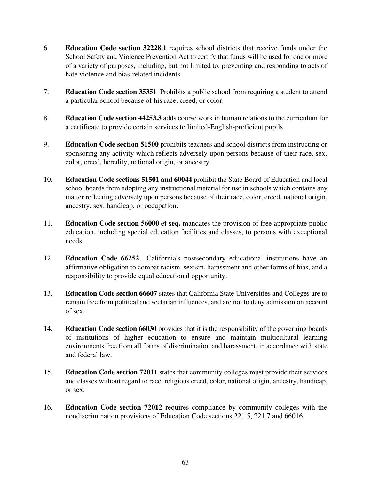- 6. **Education Code section 32228.1** requires school districts that receive funds under the School Safety and Violence Prevention Act to certify that funds will be used for one or more of a variety of purposes, including, but not limited to, preventing and responding to acts of hate violence and bias-related incidents.
- 7. **Education Code section 35351** Prohibits a public school from requiring a student to attend a particular school because of his race, creed, or color.
- 8. **Education Code section 44253.3** adds course work in human relations to the curriculum for a certificate to provide certain services to limited-English-proficient pupils.
- 9. **Education Code section 51500** prohibits teachers and school districts from instructing or sponsoring any activity which reflects adversely upon persons because of their race, sex, color, creed, heredity, national origin, or ancestry.
- 10. **Education Code sections 51501 and 60044** prohibit the State Board of Education and local school boards from adopting any instructional material for use in schools which contains any matter reflecting adversely upon persons because of their race, color, creed, national origin, ancestry, sex, handicap, or occupation.
- 11. **Education Code section 56000 et seq.** mandates the provision of free appropriate public education, including special education facilities and classes, to persons with exceptional needs.
- 12. **Education Code 66252** California's postsecondary educational institutions have an affirmative obligation to combat racism, sexism, harassment and other forms of bias, and a responsibility to provide equal educational opportunity.
- 13. **Education Code section 66607** states that California State Universities and Colleges are to remain free from political and sectarian influences, and are not to deny admission on account of sex.
- 14. **Education Code section 66030** provides that it is the responsibility of the governing boards of institutions of higher education to ensure and maintain multicultural learning environments free from all forms of discrimination and harassment, in accordance with state and federal law.
- 15. **Education Code section 72011** states that community colleges must provide their services and classes without regard to race, religious creed, color, national origin, ancestry, handicap, or sex.
- 16. **Education Code section 72012** requires compliance by community colleges with the nondiscrimination provisions of Education Code sections 221.5, 221.7 and 66016.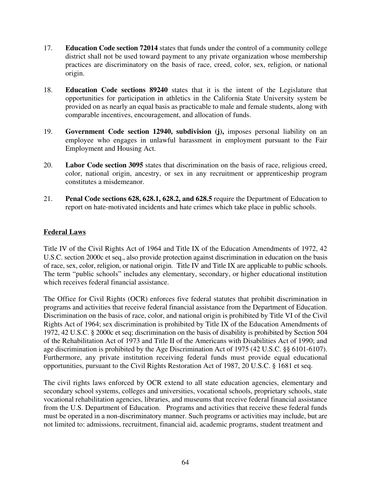- 17. **Education Code section 72014** states that funds under the control of a community college district shall not be used toward payment to any private organization whose membership practices are discriminatory on the basis of race, creed, color, sex, religion, or national origin.
- 18. **Education Code sections 89240** states that it is the intent of the Legislature that opportunities for participation in athletics in the California State University system be provided on as nearly an equal basis as practicable to male and female students, along with comparable incentives, encouragement, and allocation of funds.
- 19. **Government Code section 12940, subdivision (j),** imposes personal liability on an employee who engages in unlawful harassment in employment pursuant to the Fair Employment and Housing Act.
- 20. **Labor Code section 3095** states that discrimination on the basis of race, religious creed, color, national origin, ancestry, or sex in any recruitment or apprenticeship program constitutes a misdemeanor.
- 21. **Penal Code sections 628, 628.1, 628.2, and 628.5** require the Department of Education to report on hate-motivated incidents and hate crimes which take place in public schools.

## **Federal Laws**

Title IV of the Civil Rights Act of 1964 and Title IX of the Education Amendments of 1972, 42 U.S.C. section 2000c et seq., also provide protection against discrimination in education on the basis of race, sex, color, religion, or national origin. Title IV and Title IX are applicable to public schools. The term "public schools" includes any elementary, secondary, or higher educational institution which receives federal financial assistance.

The Office for Civil Rights (OCR) enforces five federal statutes that prohibit discrimination in programs and activities that receive federal financial assistance from the Department of Education. Discrimination on the basis of race, color, and national origin is prohibited by Title VI of the Civil Rights Act of 1964; sex discrimination is prohibited by Title IX of the Education Amendments of 1972, 42 U.S.C. § 2000c et seq; discrimination on the basis of disability is prohibited by Section 504 of the Rehabilitation Act of 1973 and Title II of the Americans with Disabilities Act of 1990; and age discrimination is prohibited by the Age Discrimination Act of 1975 (42 U.S.C. §§ 6101-6107). Furthermore, any private institution receiving federal funds must provide equal educational opportunities, pursuant to the Civil Rights Restoration Act of 1987, 20 U.S.C. § 1681 et seq.

The civil rights laws enforced by OCR extend to all state education agencies, elementary and secondary school systems, colleges and universities, vocational schools, proprietary schools, state vocational rehabilitation agencies, libraries, and museums that receive federal financial assistance from the U.S. Department of Education. Programs and activities that receive these federal funds must be operated in a non-discriminatory manner. Such programs or activities may include, but are not limited to: admissions, recruitment, financial aid, academic programs, student treatment and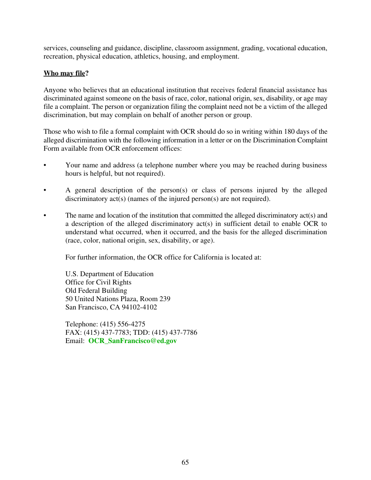services, counseling and guidance, discipline, classroom assignment, grading, vocational education, recreation, physical education, athletics, housing, and employment.

## **Who may file?**

Anyone who believes that an educational institution that receives federal financial assistance has discriminated against someone on the basis of race, color, national origin, sex, disability, or age may file a complaint. The person or organization filing the complaint need not be a victim of the alleged discrimination, but may complain on behalf of another person or group.

Those who wish to file a formal complaint with OCR should do so in writing within 180 days of the alleged discrimination with the following information in a letter or on the Discrimination Complaint Form available from OCR enforcement offices:

- Your name and address (a telephone number where you may be reached during business hours is helpful, but not required).
- A general description of the person(s) or class of persons injured by the alleged discriminatory  $act(s)$  (names of the injured person(s) are not required).
- The name and location of the institution that committed the alleged discriminatory act(s) and a description of the alleged discriminatory act(s) in sufficient detail to enable OCR to understand what occurred, when it occurred, and the basis for the alleged discrimination (race, color, national origin, sex, disability, or age).

For further information, the OCR office for California is located at:

U.S. Department of Education Office for Civil Rights Old Federal Building 50 United Nations Plaza, Room 239 San Francisco, CA 94102-4102

 Telephone: (415) 556-4275 FAX: (415) 437-7783; TDD: (415) 437-7786 Email: **OCR\_SanFrancisco@ed.gov**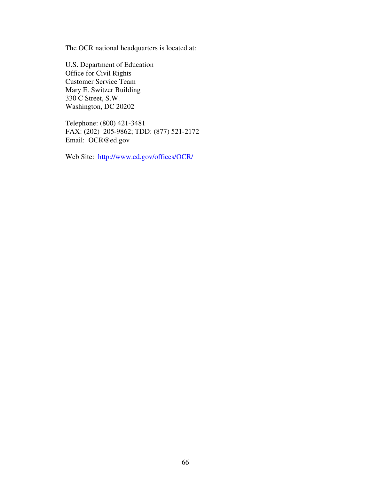The OCR national headquarters is located at:

U.S. Department of Education Office for Civil Rights Customer Service Team Mary E. Switzer Building 330 C Street, S.W. Washington, DC 20202

 Telephone: (800) 421-3481 FAX: (202) 205-9862; TDD: (877) 521-2172 Email: OCR@ed.gov

Web Site: http://www.ed.gov/offices/OCR/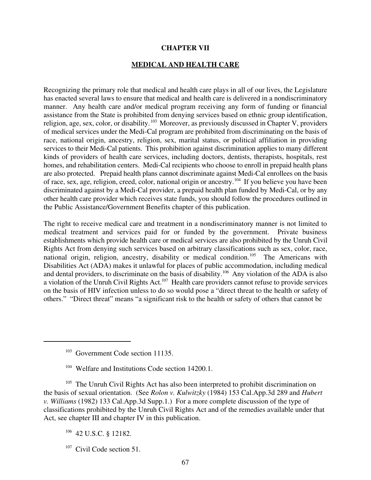#### **CHAPTER VII**

#### **MEDICAL AND HEALTH CARE**

Recognizing the primary role that medical and health care plays in all of our lives, the Legislature has enacted several laws to ensure that medical and health care is delivered in a nondiscriminatory manner. Any health care and/or medical program receiving any form of funding or financial assistance from the State is prohibited from denying services based on ethnic group identification, religion, age, sex, color, or disability. <sup>103</sup> Moreover, as previously discussed in Chapter V, providers of medical services under the Medi-Cal program are prohibited from discriminating on the basis of race, national origin, ancestry, religion, sex, marital status, or political affiliation in providing services to their Medi-Cal patients. This prohibition against discrimination applies to many different kinds of providers of health care services, including doctors, dentists, therapists, hospitals, rest homes, and rehabilitation centers. Medi-Cal recipients who choose to enroll in prepaid health plans are also protected. Prepaid health plans cannot discriminate against Medi-Cal enrollees on the basis of race, sex, age, religion, creed, color, national origin or ancestry.<sup>104</sup> If you believe you have been discriminated against by a Medi-Cal provider, a prepaid health plan funded by Medi-Cal, or by any other health care provider which receives state funds, you should follow the procedures outlined in the Public Assistance/Government Benefits chapter of this publication.

The right to receive medical care and treatment in a nondiscriminatory manner is not limited to medical treatment and services paid for or funded by the government. Private business establishments which provide health care or medical services are also prohibited by the Unruh Civil Rights Act from denying such services based on arbitrary classifications such as sex, color, race, national origin, religion, ancestry, disability or medical condition.<sup>105</sup> The Americans with Disabilities Act (ADA) makes it unlawful for places of public accommodation, including medical and dental providers, to discriminate on the basis of disability.<sup>106</sup> Any violation of the ADA is also a violation of the Unruh Civil Rights Act.<sup>107</sup> Health care providers cannot refuse to provide services on the basis of HIV infection unless to do so would pose a "direct threat to the health or safety of others." "Direct threat" means "a significant risk to the health or safety of others that cannot be

 $104$  Welfare and Institutions Code section 14200.1.

 $105$  The Unruh Civil Rights Act has also been interpreted to prohibit discrimination on the basis of sexual orientation. (See *Rolon v. Kulwitzky* (1984) 153 Cal.App.3d 289 and *Hubert v. Williams* (1982) 133 Cal.App.3d Supp.1.) For a more complete discussion of the type of classifications prohibited by the Unruh Civil Rights Act and of the remedies available under that Act, see chapter III and chapter IV in this publication.

 $107$  Civil Code section 51.

 $103$  Government Code section 11135.

<sup>&</sup>lt;sup>106</sup> 42 U.S.C. § 12182.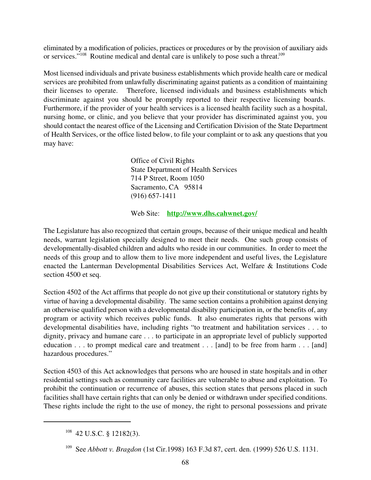eliminated by a modification of policies, practices or procedures or by the provision of auxiliary aids or services."<sup>108</sup> Routine medical and dental care is unlikely to pose such a threat.<sup>109</sup>

Most licensed individuals and private business establishments which provide health care or medical services are prohibited from unlawfully discriminating against patients as a condition of maintaining their licenses to operate. Therefore, licensed individuals and business establishments which discriminate against you should be promptly reported to their respective licensing boards. Furthermore, if the provider of your health services is a licensed health facility such as a hospital, nursing home, or clinic, and you believe that your provider has discriminated against you, you should contact the nearest office of the Licensing and Certification Division of the State Department of Health Services, or the office listed below, to file your complaint or to ask any questions that you may have:

> Office of Civil Rights State Department of Health Services 714 P Street, Room 1050 Sacramento, CA 95814 (916) 657-1411

Web Site: **http://www.dhs.cahwnet.gov/**

The Legislature has also recognized that certain groups, because of their unique medical and health needs, warrant legislation specially designed to meet their needs. One such group consists of developmentally-disabled children and adults who reside in our communities. In order to meet the needs of this group and to allow them to live more independent and useful lives, the Legislature enacted the Lanterman Developmental Disabilities Services Act, Welfare & Institutions Code section 4500 et seq.

Section 4502 of the Act affirms that people do not give up their constitutional or statutory rights by virtue of having a developmental disability. The same section contains a prohibition against denying an otherwise qualified person with a developmental disability participation in, or the benefits of, any program or activity which receives public funds. It also enumerates rights that persons with developmental disabilities have, including rights "to treatment and habilitation services . . . to dignity, privacy and humane care . . . to participate in an appropriate level of publicly supported education . . . to prompt medical care and treatment . . . [and] to be free from harm . . . [and] hazardous procedures."

Section 4503 of this Act acknowledges that persons who are housed in state hospitals and in other residential settings such as community care facilities are vulnerable to abuse and exploitation. To prohibit the continuation or recurrence of abuses, this section states that persons placed in such facilities shall have certain rights that can only be denied or withdrawn under specified conditions. These rights include the right to the use of money, the right to personal possessions and private

 $108$  42 U.S.C. § 12182(3).

<sup>&</sup>lt;sup>109</sup> See *Abbott v. Bragdon* (1st Cir.1998) 163 F.3d 87, cert. den. (1999) 526 U.S. 1131.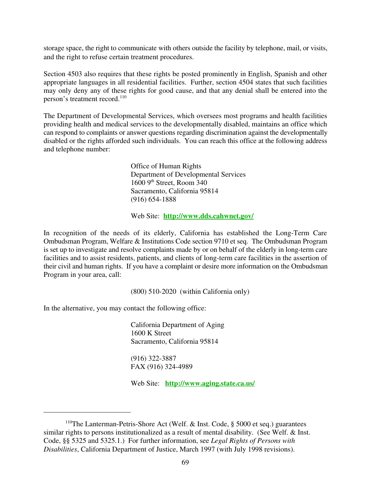storage space, the right to communicate with others outside the facility by telephone, mail, or visits, and the right to refuse certain treatment procedures.

Section 4503 also requires that these rights be posted prominently in English, Spanish and other appropriate languages in all residential facilities. Further, section 4504 states that such facilities may only deny any of these rights for good cause, and that any denial shall be entered into the person's treatment record.<sup>110</sup>

The Department of Developmental Services, which oversees most programs and health facilities providing health and medical services to the developmentally disabled, maintains an office which can respond to complaints or answer questions regarding discrimination against the developmentally disabled or the rights afforded such individuals. You can reach this office at the following address and telephone number:

> Office of Human Rights Department of Developmental Services  $1600$  9<sup>th</sup> Street, Room 340 Sacramento, California 95814 (916) 654-1888

Web Site: **http://www.dds.cahwnet.gov/**

In recognition of the needs of its elderly, California has established the Long-Term Care Ombudsman Program, Welfare & Institutions Code section 9710 et seq. The Ombudsman Program is set up to investigate and resolve complaints made by or on behalf of the elderly in long-term care facilities and to assist residents, patients, and clients of long-term care facilities in the assertion of their civil and human rights. If you have a complaint or desire more information on the Ombudsman Program in your area, call:

(800) 510-2020 (within California only)

In the alternative, you may contact the following office:

California Department of Aging 1600 K Street Sacramento, California 95814

 (916) 322-3887 FAX (916) 324-4989

Web Site: **http://www.aging.state.ca.us/**

<sup>&</sup>lt;sup>110</sup>The Lanterman-Petris-Shore Act (Welf. & Inst. Code, § 5000 et seq.) guarantees similar rights to persons institutionalized as a result of mental disability. (See Welf. & Inst. Code, §§ 5325 and 5325.1.) For further information, see *Legal Rights of Persons with Disabilities*, California Department of Justice, March 1997 (with July 1998 revisions).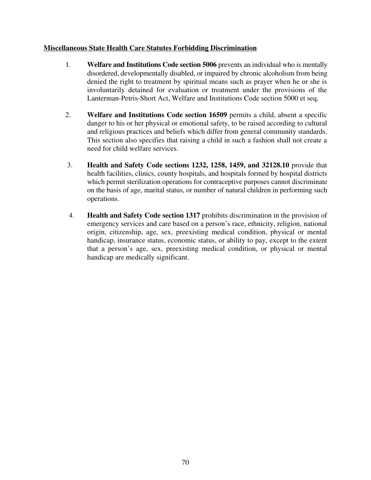### **Miscellaneous State Health Care Statutes Forbidding Discrimination**

- 1. **Welfare and Institutions Code section 5006** prevents an individual who is mentally disordered, developmentally disabled, or impaired by chronic alcoholism from being denied the right to treatment by spiritual means such as prayer when he or she is involuntarily detained for evaluation or treatment under the provisions of the Lanterman-Petris-Short Act, Welfare and Institutions Code section 5000 et seq.
- 2. **Welfare and Institutions Code section 16509** permits a child, absent a specific danger to his or her physical or emotional safety, to be raised according to cultural and religious practices and beliefs which differ from general community standards. This section also specifies that raising a child in such a fashion shall not create a need for child welfare services.
- 3. **Health and Safety Code sections 1232, 1258, 1459, and 32128.10** provide that health facilities, clinics, county hospitals, and hospitals formed by hospital districts which permit sterilization operations for contraceptive purposes cannot discriminate on the basis of age, marital status, or number of natural children in performing such operations.
- 4. **Health and Safety Code section 1317** prohibits discrimination in the provision of emergency services and care based on a person's race, ethnicity, religion, national origin, citizenship, age, sex, preexisting medical condition, physical or mental handicap, insurance status, economic status, or ability to pay, except to the extent that a person's age, sex, preexisting medical condition, or physical or mental handicap are medically significant.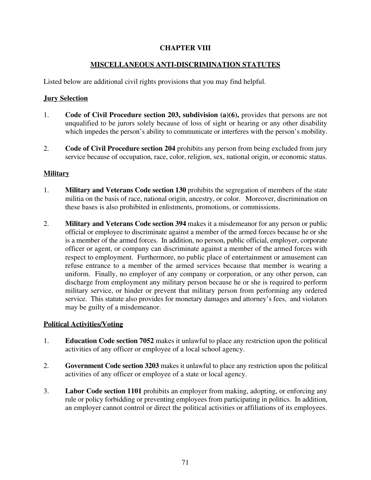## **CHAPTER VIII**

# **MISCELLANEOUS ANTI-DISCRIMINATION STATUTES**

Listed below are additional civil rights provisions that you may find helpful.

### **Jury Selection**

- 1. **Code of Civil Procedure section 203, subdivision (a)(6),** provides that persons are not unqualified to be jurors solely because of loss of sight or hearing or any other disability which impedes the person's ability to communicate or interferes with the person's mobility.
- 2. **Code of Civil Procedure section 204** prohibits any person from being excluded from jury service because of occupation, race, color, religion, sex, national origin, or economic status.

### **Military**

- 1. **Military and Veterans Code section 130** prohibits the segregation of members of the state militia on the basis of race, national origin, ancestry, or color. Moreover, discrimination on these bases is also prohibited in enlistments, promotions, or commissions.
- 2. **Military and Veterans Code section 394** makes it a misdemeanor for any person or public official or employee to discriminate against a member of the armed forces because he or she is a member of the armed forces. In addition, no person, public official, employer, corporate officer or agent, or company can discriminate against a member of the armed forces with respect to employment. Furthermore, no public place of entertainment or amusement can refuse entrance to a member of the armed services because that member is wearing a uniform. Finally, no employer of any company or corporation, or any other person, can discharge from employment any military person because he or she is required to perform military service, or hinder or prevent that military person from performing any ordered service. This statute also provides for monetary damages and attorney's fees, and violators may be guilty of a misdemeanor.

#### **Political Activities/Voting**

- 1. **Education Code section 7052** makes it unlawful to place any restriction upon the political activities of any officer or employee of a local school agency.
- 2. **Government Code section 3203** makes it unlawful to place any restriction upon the political activities of any officer or employee of a state or local agency.
- 3. **Labor Code section 1101** prohibits an employer from making, adopting, or enforcing any rule or policy forbidding or preventing employees from participating in politics. In addition, an employer cannot control or direct the political activities or affiliations of its employees.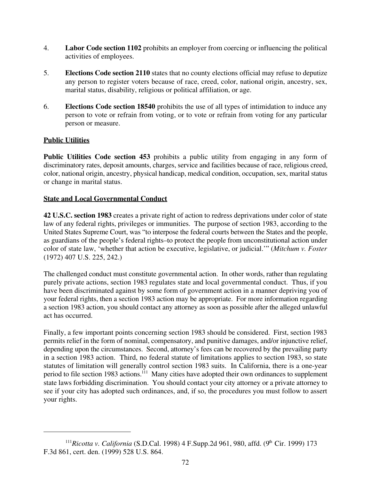- 4. **Labor Code section 1102** prohibits an employer from coercing or influencing the political activities of employees.
- 5. **Elections Code section 2110** states that no county elections official may refuse to deputize any person to register voters because of race, creed, color, national origin, ancestry, sex, marital status, disability, religious or political affiliation, or age.
- 6. **Elections Code section 18540** prohibits the use of all types of intimidation to induce any person to vote or refrain from voting, or to vote or refrain from voting for any particular person or measure.

# **Public Utilities**

**Public Utilities Code section 453** prohibits a public utility from engaging in any form of discriminatory rates, deposit amounts, charges, service and facilities because of race, religious creed, color, national origin, ancestry, physical handicap, medical condition, occupation, sex, marital status or change in marital status.

## **State and Local Governmental Conduct**

**42 U.S.C. section 1983** creates a private right of action to redress deprivations under color of state law of any federal rights, privileges or immunities. The purpose of section 1983, according to the United States Supreme Court, was "to interpose the federal courts between the States and the people, as guardians of the people's federal rights–to protect the people from unconstitutional action under color of state law, 'whether that action be executive, legislative, or judicial.'" (*Mitchum v. Foster* (1972) 407 U.S. 225, 242.)

The challenged conduct must constitute governmental action. In other words, rather than regulating purely private actions, section 1983 regulates state and local governmental conduct. Thus, if you have been discriminated against by some form of government action in a manner depriving you of your federal rights, then a section 1983 action may be appropriate. For more information regarding a section 1983 action, you should contact any attorney as soon as possible after the alleged unlawful act has occurred.

Finally, a few important points concerning section 1983 should be considered. First, section 1983 permits relief in the form of nominal, compensatory, and punitive damages, and/or injunctive relief, depending upon the circumstances. Second, attorney's fees can be recovered by the prevailing party in a section 1983 action. Third, no federal statute of limitations applies to section 1983, so state statutes of limitation will generally control section 1983 suits. In California, there is a one-year period to file section 1983 actions.<sup>111</sup> Many cities have adopted their own ordinances to supplement state laws forbidding discrimination. You should contact your city attorney or a private attorney to see if your city has adopted such ordinances, and, if so, the procedures you must follow to assert your rights.

<sup>&</sup>lt;sup>111</sup> Ricotta v. California (S.D.Cal. 1998) 4 F.Supp.2d 961, 980, affd. (9<sup>th</sup> Cir. 1999) 173 F.3d 861, cert. den. (1999) 528 U.S. 864.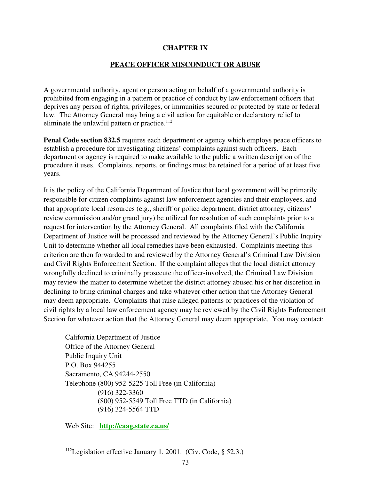### **CHAPTER IX**

### **PEACE OFFICER MISCONDUCT OR ABUSE**

A governmental authority, agent or person acting on behalf of a governmental authority is prohibited from engaging in a pattern or practice of conduct by law enforcement officers that deprives any person of rights, privileges, or immunities secured or protected by state or federal law. The Attorney General may bring a civil action for equitable or declaratory relief to eliminate the unlawful pattern or practice.<sup>112</sup>

**Penal Code section 832.5** requires each department or agency which employs peace officers to establish a procedure for investigating citizens' complaints against such officers. Each department or agency is required to make available to the public a written description of the procedure it uses. Complaints, reports, or findings must be retained for a period of at least five years.

It is the policy of the California Department of Justice that local government will be primarily responsible for citizen complaints against law enforcement agencies and their employees, and that appropriate local resources (e.g., sheriff or police department, district attorney, citizens' review commission and/or grand jury) be utilized for resolution of such complaints prior to a request for intervention by the Attorney General. All complaints filed with the California Department of Justice will be processed and reviewed by the Attorney General's Public Inquiry Unit to determine whether all local remedies have been exhausted. Complaints meeting this criterion are then forwarded to and reviewed by the Attorney General's Criminal Law Division and Civil Rights Enforcement Section. If the complaint alleges that the local district attorney wrongfully declined to criminally prosecute the officer-involved, the Criminal Law Division may review the matter to determine whether the district attorney abused his or her discretion in declining to bring criminal charges and take whatever other action that the Attorney General may deem appropriate. Complaints that raise alleged patterns or practices of the violation of civil rights by a local law enforcement agency may be reviewed by the Civil Rights Enforcement Section for whatever action that the Attorney General may deem appropriate. You may contact:

California Department of Justice Office of the Attorney General Public Inquiry Unit P.O. Box 944255 Sacramento, CA 94244-2550 Telephone (800) 952-5225 Toll Free (in California) (916) 322-3360 (800) 952-5549 Toll Free TTD (in California) (916) 324-5564 TTD

Web Site: **http://caag.state.ca.us/**

<sup>&</sup>lt;sup>112</sup>Legislation effective January 1, 2001. (Civ. Code,  $§$  52.3.)